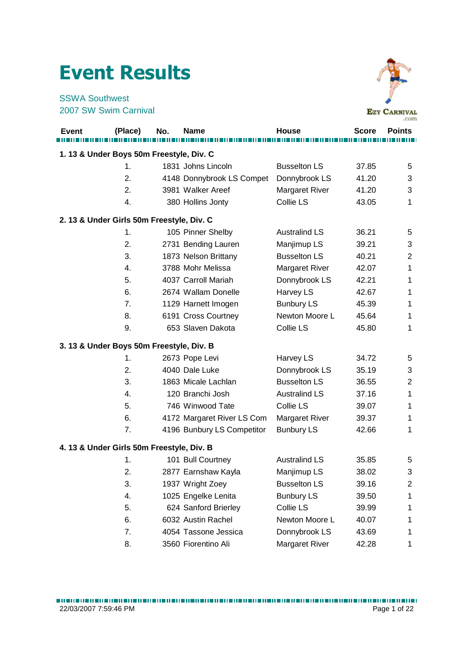## Event Results

SSWA Southwest 2007 SW Swim Carnival



|                                           |         |     |                            |                       |              | المتعاصلة      |
|-------------------------------------------|---------|-----|----------------------------|-----------------------|--------------|----------------|
| <b>Event</b>                              | (Place) | No. | <b>Name</b>                | House                 | <b>Score</b> | <b>Points</b>  |
|                                           |         |     |                            |                       |              |                |
| 1. 13 & Under Boys 50m Freestyle, Div. C  |         |     |                            |                       |              |                |
|                                           | 1.      |     | 1831 Johns Lincoln         | <b>Busselton LS</b>   | 37.85        | 5              |
|                                           | 2.      |     | 4148 Donnybrook LS Compet  | Donnybrook LS         | 41.20        | 3              |
|                                           | 2.      |     | 3981 Walker Areef          | Margaret River        | 41.20        | 3              |
|                                           | 4.      |     | 380 Hollins Jonty          | Collie LS             | 43.05        | 1              |
| 2. 13 & Under Girls 50m Freestyle, Div. C |         |     |                            |                       |              |                |
|                                           | 1.      |     | 105 Pinner Shelby          | <b>Australind LS</b>  | 36.21        | 5              |
|                                           | 2.      |     | 2731 Bending Lauren        | Manjimup LS           | 39.21        | 3              |
|                                           | 3.      |     | 1873 Nelson Brittany       | <b>Busselton LS</b>   | 40.21        | $\overline{2}$ |
|                                           | 4.      |     | 3788 Mohr Melissa          | Margaret River        | 42.07        | 1              |
|                                           | 5.      |     | 4037 Carroll Mariah        | Donnybrook LS         | 42.21        | 1              |
|                                           | 6.      |     | 2674 Wallam Donelle        | Harvey LS             | 42.67        | 1              |
|                                           | 7.      |     | 1129 Harnett Imogen        | <b>Bunbury LS</b>     | 45.39        | 1              |
|                                           | 8.      |     | 6191 Cross Courtney        | Newton Moore L        | 45.64        | 1              |
|                                           | 9.      |     | 653 Slaven Dakota          | Collie LS             | 45.80        | 1              |
| 3. 13 & Under Boys 50m Freestyle, Div. B  |         |     |                            |                       |              |                |
|                                           | 1.      |     | 2673 Pope Levi             | Harvey LS             | 34.72        | 5              |
|                                           | 2.      |     | 4040 Dale Luke             | Donnybrook LS         | 35.19        | 3              |
|                                           | 3.      |     | 1863 Micale Lachlan        | <b>Busselton LS</b>   | 36.55        | 2              |
|                                           | 4.      |     | 120 Branchi Josh           | <b>Australind LS</b>  | 37.16        | 1              |
|                                           | 5.      |     | 746 Winwood Tate           | Collie LS             | 39.07        | 1              |
|                                           | 6.      |     | 4172 Margaret River LS Com | <b>Margaret River</b> | 39.37        | 1              |
|                                           | 7.      |     | 4196 Bunbury LS Competitor | <b>Bunbury LS</b>     | 42.66        | 1              |
| 4. 13 & Under Girls 50m Freestyle, Div. B |         |     |                            |                       |              |                |
|                                           | 1.      |     | 101 Bull Courtney          | <b>Australind LS</b>  | 35.85        | 5              |
|                                           | 2.      |     | 2877 Earnshaw Kayla        | Manjimup LS           | 38.02        | 3              |
|                                           | 3.      |     | 1937 Wright Zoey           | <b>Busselton LS</b>   | 39.16        | 2              |
|                                           | 4.      |     | 1025 Engelke Lenita        | <b>Bunbury LS</b>     | 39.50        | 1              |
|                                           | 5.      |     | 624 Sanford Brierley       | Collie LS             | 39.99        | 1              |
|                                           | 6.      |     | 6032 Austin Rachel         | Newton Moore L        | 40.07        | 1              |
|                                           | 7.      |     | 4054 Tassone Jessica       | Donnybrook LS         | 43.69        | 1              |
|                                           | 8.      |     | 3560 Fiorentino Ali        | <b>Margaret River</b> | 42.28        | 1              |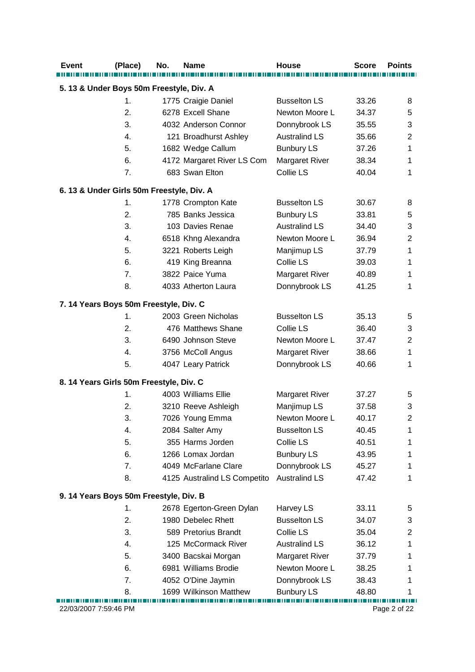| <b>Event</b>                             | (Place)                                   | No. | Name                         | <b>House</b>          | <b>Score</b> | <b>Points</b>  |  |  |
|------------------------------------------|-------------------------------------------|-----|------------------------------|-----------------------|--------------|----------------|--|--|
| 5. 13 & Under Boys 50m Freestyle, Div. A |                                           |     |                              |                       |              |                |  |  |
|                                          | 1.                                        |     | 1775 Craigie Daniel          | <b>Busselton LS</b>   | 33.26        | 8              |  |  |
|                                          | 2.                                        |     | 6278 Excell Shane            | Newton Moore L        | 34.37        | 5              |  |  |
|                                          | 3.                                        |     | 4032 Anderson Connor         | Donnybrook LS         | 35.55        | 3              |  |  |
|                                          | 4.                                        |     | 121 Broadhurst Ashley        | <b>Australind LS</b>  | 35.66        | $\overline{2}$ |  |  |
|                                          | 5.                                        |     | 1682 Wedge Callum            | <b>Bunbury LS</b>     | 37.26        | 1              |  |  |
|                                          | 6.                                        |     | 4172 Margaret River LS Com   | <b>Margaret River</b> | 38.34        | 1              |  |  |
|                                          | 7.                                        |     | 683 Swan Elton               | Collie LS             | 40.04        | 1              |  |  |
|                                          | 6. 13 & Under Girls 50m Freestyle, Div. A |     |                              |                       |              |                |  |  |
|                                          | 1.                                        |     | 1778 Crompton Kate           | <b>Busselton LS</b>   | 30.67        | 8              |  |  |
|                                          | 2.                                        |     | 785 Banks Jessica            | <b>Bunbury LS</b>     | 33.81        | 5              |  |  |
|                                          | 3.                                        |     | 103 Davies Renae             | <b>Australind LS</b>  | 34.40        | 3              |  |  |
|                                          | 4.                                        |     | 6518 Khng Alexandra          | Newton Moore L        | 36.94        | $\overline{2}$ |  |  |
|                                          | 5.                                        |     | 3221 Roberts Leigh           | Manjimup LS           | 37.79        | 1              |  |  |
|                                          | 6.                                        |     | 419 King Breanna             | Collie LS             | 39.03        | 1              |  |  |
|                                          | 7.                                        |     | 3822 Paice Yuma              | Margaret River        | 40.89        | 1              |  |  |
|                                          | 8.                                        |     | 4033 Atherton Laura          | Donnybrook LS         | 41.25        | 1              |  |  |
|                                          | 7. 14 Years Boys 50m Freestyle, Div. C    |     |                              |                       |              |                |  |  |
|                                          | 1.                                        |     | 2003 Green Nicholas          | <b>Busselton LS</b>   | 35.13        | 5              |  |  |
|                                          | 2.                                        |     | 476 Matthews Shane           | Collie LS             | 36.40        | 3              |  |  |
|                                          | 3.                                        |     | 6490 Johnson Steve           | Newton Moore L        | 37.47        | $\overline{2}$ |  |  |
|                                          | 4.                                        |     | 3756 McColl Angus            | <b>Margaret River</b> | 38.66        | 1              |  |  |
|                                          | 5.                                        |     | 4047 Leary Patrick           | Donnybrook LS         | 40.66        | 1              |  |  |
|                                          | 8. 14 Years Girls 50m Freestyle, Div. C   |     |                              |                       |              |                |  |  |
|                                          | 1.                                        |     | 4003 Williams Ellie          | <b>Margaret River</b> | 37.27        | 5              |  |  |
|                                          | 2.                                        |     | 3210 Reeve Ashleigh          | Manjimup LS           | 37.58        | 3              |  |  |
|                                          | 3.                                        |     | 7026 Young Emma              | Newton Moore L        | 40.17        | $\overline{c}$ |  |  |
|                                          | 4.                                        |     | 2084 Salter Amy              | <b>Busselton LS</b>   | 40.45        | 1              |  |  |
|                                          | 5.                                        |     | 355 Harms Jorden             | Collie LS             | 40.51        | 1              |  |  |
|                                          | 6.                                        |     | 1266 Lomax Jordan            | <b>Bunbury LS</b>     | 43.95        | 1              |  |  |
|                                          | 7.                                        |     | 4049 McFarlane Clare         | Donnybrook LS         | 45.27        | 1              |  |  |
|                                          | 8.                                        |     | 4125 Australind LS Competito | <b>Australind LS</b>  | 47.42        | 1              |  |  |
|                                          | 9. 14 Years Boys 50m Freestyle, Div. B    |     |                              |                       |              |                |  |  |
|                                          | 1.                                        |     | 2678 Egerton-Green Dylan     | Harvey LS             | 33.11        | 5              |  |  |
|                                          | 2.                                        |     | 1980 Debelec Rhett           | <b>Busselton LS</b>   | 34.07        | 3              |  |  |
|                                          | 3.                                        |     | 589 Pretorius Brandt         | Collie LS             | 35.04        | $\overline{c}$ |  |  |
|                                          | 4.                                        |     | 125 McCormack River          | <b>Australind LS</b>  | 36.12        | 1              |  |  |
|                                          | 5.                                        |     | 3400 Bacskai Morgan          | <b>Margaret River</b> | 37.79        | 1              |  |  |
|                                          | 6.                                        |     | 6981 Williams Brodie         | Newton Moore L        | 38.25        | 1              |  |  |
|                                          | 7.                                        |     | 4052 O'Dine Jaymin           | Donnybrook LS         | 38.43        | 1              |  |  |
|                                          | 8.                                        |     | 1699 Wilkinson Matthew       | <b>Bunbury LS</b>     | 48.80        | 1              |  |  |
| 22/03/2007 7:59:46 PM                    |                                           |     |                              |                       |              | Page 2 of 22   |  |  |
|                                          |                                           |     |                              |                       |              |                |  |  |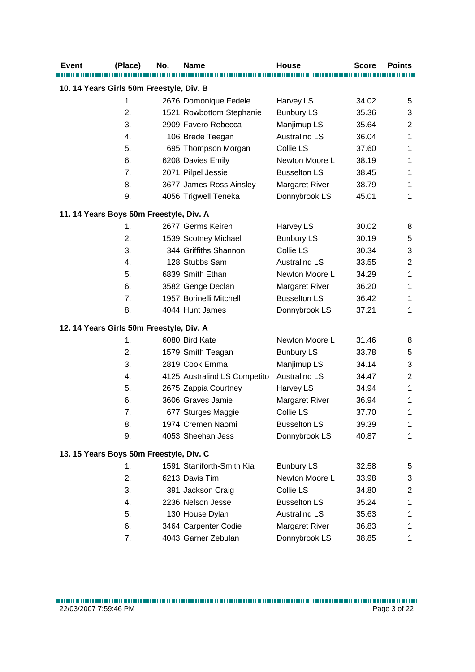| <b>Event</b>                             | (Place) | No. | <b>Name</b>                  | <b>House</b>          | <b>Score</b> | <b>Points</b>  |  |  |
|------------------------------------------|---------|-----|------------------------------|-----------------------|--------------|----------------|--|--|
| 10. 14 Years Girls 50m Freestyle, Div. B |         |     |                              |                       |              |                |  |  |
|                                          |         |     |                              |                       |              |                |  |  |
|                                          | 1.      |     | 2676 Domonique Fedele        | Harvey LS             | 34.02        | 5              |  |  |
|                                          | 2.      |     | 1521 Rowbottom Stephanie     | <b>Bunbury LS</b>     | 35.36        | 3              |  |  |
|                                          | 3.      |     | 2909 Favero Rebecca          | Manjimup LS           | 35.64        | $\overline{2}$ |  |  |
|                                          | 4.      |     | 106 Brede Teegan             | <b>Australind LS</b>  | 36.04        | 1              |  |  |
|                                          | 5.      |     | 695 Thompson Morgan          | Collie LS             | 37.60        | 1              |  |  |
|                                          | 6.      |     | 6208 Davies Emily            | Newton Moore L        | 38.19        | 1              |  |  |
|                                          | 7.      |     | 2071 Pilpel Jessie           | <b>Busselton LS</b>   | 38.45        | $\mathbf 1$    |  |  |
|                                          | 8.      |     | 3677 James-Ross Ainsley      | <b>Margaret River</b> | 38.79        | 1              |  |  |
|                                          | 9.      |     | 4056 Trigwell Teneka         | Donnybrook LS         | 45.01        | 1              |  |  |
| 11. 14 Years Boys 50m Freestyle, Div. A  |         |     |                              |                       |              |                |  |  |
|                                          | 1.      |     | 2677 Germs Keiren            | Harvey LS             | 30.02        | 8              |  |  |
|                                          | 2.      |     | 1539 Scotney Michael         | <b>Bunbury LS</b>     | 30.19        | 5              |  |  |
|                                          | 3.      |     | 344 Griffiths Shannon        | Collie LS             | 30.34        | 3              |  |  |
|                                          | 4.      |     | 128 Stubbs Sam               | <b>Australind LS</b>  | 33.55        | $\mathbf 2$    |  |  |
|                                          | 5.      |     | 6839 Smith Ethan             | Newton Moore L        | 34.29        | 1              |  |  |
|                                          | 6.      |     | 3582 Genge Declan            | <b>Margaret River</b> | 36.20        | $\mathbf 1$    |  |  |
|                                          | 7.      |     | 1957 Borinelli Mitchell      | <b>Busselton LS</b>   | 36.42        | 1              |  |  |
|                                          | 8.      |     | 4044 Hunt James              | Donnybrook LS         | 37.21        | 1              |  |  |
| 12. 14 Years Girls 50m Freestyle, Div. A |         |     |                              |                       |              |                |  |  |
|                                          | 1.      |     | 6080 Bird Kate               | Newton Moore L        | 31.46        | 8              |  |  |
|                                          | 2.      |     | 1579 Smith Teagan            | <b>Bunbury LS</b>     | 33.78        | 5              |  |  |
|                                          | 3.      |     | 2819 Cook Emma               | Manjimup LS           | 34.14        | 3              |  |  |
|                                          | 4.      |     | 4125 Australind LS Competito | <b>Australind LS</b>  | 34.47        | $\overline{2}$ |  |  |
|                                          | 5.      |     | 2675 Zappia Courtney         | Harvey LS             | 34.94        | 1              |  |  |
|                                          | 6.      |     | 3606 Graves Jamie            | <b>Margaret River</b> | 36.94        | 1              |  |  |
|                                          | 7.      |     | 677 Sturges Maggie           | Collie LS             | 37.70        | 1              |  |  |
|                                          | 8.      |     | 1974 Cremen Naomi            | <b>Busselton LS</b>   | 39.39        | 1              |  |  |
|                                          | 9.      |     | 4053 Sheehan Jess            | Donnybrook LS         | 40.87        | 1              |  |  |
| 13. 15 Years Boys 50m Freestyle, Div. C  |         |     |                              |                       |              |                |  |  |
|                                          | 1.      |     | 1591 Staniforth-Smith Kial   | <b>Bunbury LS</b>     | 32.58        | 5              |  |  |
|                                          | 2.      |     | 6213 Davis Tim               | Newton Moore L        | 33.98        | 3              |  |  |
|                                          | 3.      |     | 391 Jackson Craig            | Collie LS             | 34.80        | $\overline{c}$ |  |  |
|                                          | 4.      |     | 2236 Nelson Jesse            | <b>Busselton LS</b>   | 35.24        | 1              |  |  |
|                                          | 5.      |     | 130 House Dylan              | <b>Australind LS</b>  | 35.63        | 1              |  |  |
|                                          | 6.      |     | 3464 Carpenter Codie         | <b>Margaret River</b> | 36.83        | 1              |  |  |
|                                          | 7.      |     | 4043 Garner Zebulan          | Donnybrook LS         | 38.85        | 1              |  |  |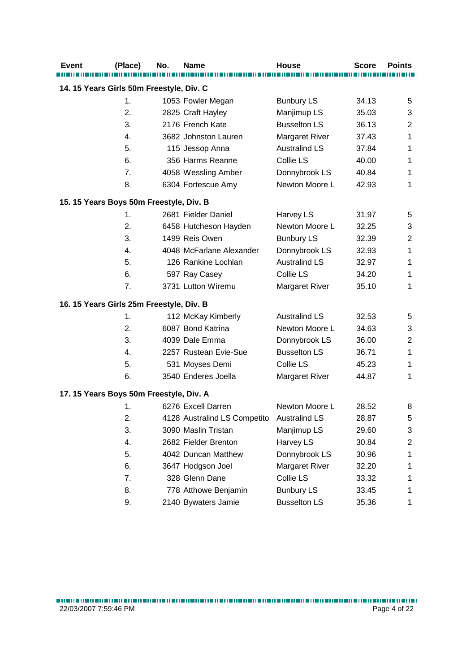| <b>Event</b>                             | (Place) | No. | <b>Name</b>                  | <b>House</b>          | <b>Score</b> | <b>Points</b> |  |  |
|------------------------------------------|---------|-----|------------------------------|-----------------------|--------------|---------------|--|--|
| 14. 15 Years Girls 50m Freestyle, Div. C |         |     |                              |                       |              |               |  |  |
|                                          |         |     |                              |                       |              |               |  |  |
|                                          | 1.      |     | 1053 Fowler Megan            | <b>Bunbury LS</b>     | 34.13        | 5             |  |  |
|                                          | 2.      |     | 2825 Craft Hayley            | Manjimup LS           | 35.03        | 3             |  |  |
|                                          | 3.      |     | 2176 French Kate             | <b>Busselton LS</b>   | 36.13        | 2             |  |  |
|                                          | 4.      |     | 3682 Johnston Lauren         | Margaret River        | 37.43        | 1             |  |  |
|                                          | 5.      |     | 115 Jessop Anna              | <b>Australind LS</b>  | 37.84        | 1             |  |  |
|                                          | 6.      |     | 356 Harms Reanne             | Collie LS             | 40.00        | 1             |  |  |
|                                          | 7.      |     | 4058 Wessling Amber          | Donnybrook LS         | 40.84        | 1             |  |  |
|                                          | 8.      |     | 6304 Fortescue Amy           | Newton Moore L        | 42.93        | 1             |  |  |
| 15. 15 Years Boys 50m Freestyle, Div. B  |         |     |                              |                       |              |               |  |  |
|                                          | 1.      |     | 2681 Fielder Daniel          | Harvey LS             | 31.97        | 5             |  |  |
|                                          | 2.      |     | 6458 Hutcheson Hayden        | Newton Moore L        | 32.25        | 3             |  |  |
|                                          | 3.      |     | 1499 Reis Owen               | <b>Bunbury LS</b>     | 32.39        | 2             |  |  |
|                                          | 4.      |     | 4048 McFarlane Alexander     | Donnybrook LS         | 32.93        | 1             |  |  |
|                                          | 5.      |     | 126 Rankine Lochlan          | <b>Australind LS</b>  | 32.97        | 1             |  |  |
|                                          | 6.      |     | 597 Ray Casey                | Collie LS             | 34.20        | 1             |  |  |
|                                          | 7.      |     | 3731 Lutton Wiremu           | <b>Margaret River</b> | 35.10        | 1             |  |  |
| 16. 15 Years Girls 25m Freestyle, Div. B |         |     |                              |                       |              |               |  |  |
|                                          | 1.      |     | 112 McKay Kimberly           | <b>Australind LS</b>  | 32.53        | 5             |  |  |
|                                          | 2.      |     | 6087 Bond Katrina            | Newton Moore L        | 34.63        | 3             |  |  |
|                                          | 3.      |     | 4039 Dale Emma               | Donnybrook LS         | 36.00        | 2             |  |  |
|                                          | 4.      |     | 2257 Rustean Evie-Sue        | <b>Busselton LS</b>   | 36.71        | 1             |  |  |
|                                          | 5.      |     | 531 Moyses Demi              | Collie LS             | 45.23        | 1             |  |  |
|                                          | 6.      |     | 3540 Enderes Joella          | <b>Margaret River</b> | 44.87        | 1             |  |  |
| 17. 15 Years Boys 50m Freestyle, Div. A  |         |     |                              |                       |              |               |  |  |
|                                          | 1.      |     | 6276 Excell Darren           | Newton Moore L        | 28.52        | 8             |  |  |
|                                          | 2.      |     | 4128 Australind LS Competito | <b>Australind LS</b>  | 28.87        | 5             |  |  |
|                                          | 3.      |     | 3090 Maslin Tristan          | Manjimup LS           | 29.60        | 3             |  |  |
|                                          | 4.      |     | 2682 Fielder Brenton         | Harvey LS             | 30.84        | 2             |  |  |
|                                          | 5.      |     | 4042 Duncan Matthew          | Donnybrook LS         | 30.96        | 1             |  |  |
|                                          | 6.      |     | 3647 Hodgson Joel            | Margaret River        | 32.20        | 1             |  |  |
|                                          | 7.      |     | 328 Glenn Dane               | Collie LS             | 33.32        | 1             |  |  |
|                                          | 8.      |     | 778 Atthowe Benjamin         | <b>Bunbury LS</b>     | 33.45        | 1             |  |  |
|                                          | 9.      |     | 2140 Bywaters Jamie          | <b>Busselton LS</b>   | 35.36        | 1             |  |  |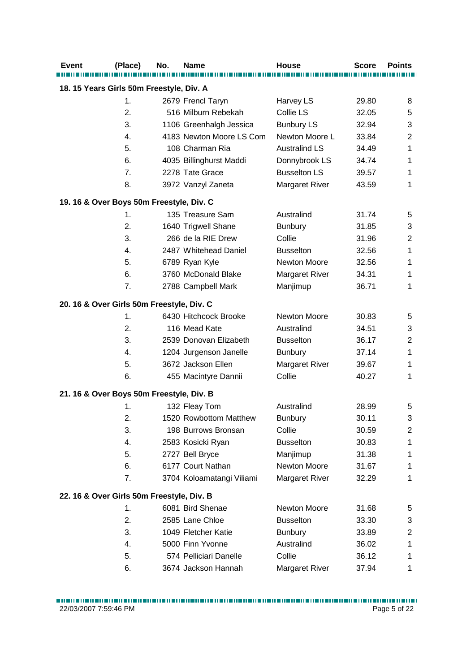| <b>Event</b>                              | (Place)        | No. | <b>Name</b>               | House                 | <b>Score</b> | <b>Points</b>  |  |  |
|-------------------------------------------|----------------|-----|---------------------------|-----------------------|--------------|----------------|--|--|
| 18. 15 Years Girls 50m Freestyle, Div. A  |                |     |                           |                       |              |                |  |  |
|                                           | 1.             |     | 2679 Frencl Taryn         | Harvey LS             | 29.80        | 8              |  |  |
|                                           | 2.             |     | 516 Milburn Rebekah       | Collie LS             | 32.05        | 5              |  |  |
|                                           | 3.             |     | 1106 Greenhalgh Jessica   | <b>Bunbury LS</b>     | 32.94        | 3              |  |  |
|                                           | 4.             |     | 4183 Newton Moore LS Com  | Newton Moore L        | 33.84        | $\overline{2}$ |  |  |
|                                           | 5.             |     | 108 Charman Ria           | <b>Australind LS</b>  | 34.49        | 1              |  |  |
|                                           | 6.             |     | 4035 Billinghurst Maddi   | Donnybrook LS         | 34.74        | 1              |  |  |
|                                           | 7.             |     | 2278 Tate Grace           | <b>Busselton LS</b>   | 39.57        | 1              |  |  |
|                                           | 8.             |     | 3972 Vanzyl Zaneta        | <b>Margaret River</b> | 43.59        | 1              |  |  |
| 19. 16 & Over Boys 50m Freestyle, Div. C  |                |     |                           |                       |              |                |  |  |
|                                           | $\mathbf{1}$ . |     | 135 Treasure Sam          | Australind            | 31.74        | 5              |  |  |
|                                           | 2.             |     | 1640 Trigwell Shane       | <b>Bunbury</b>        | 31.85        | 3              |  |  |
|                                           | 3.             |     | 266 de la RIE Drew        | Collie                | 31.96        | $\overline{2}$ |  |  |
|                                           | 4.             |     | 2487 Whitehead Daniel     | <b>Busselton</b>      | 32.56        | 1              |  |  |
|                                           | 5.             |     | 6789 Ryan Kyle            | Newton Moore          | 32.56        | 1              |  |  |
|                                           | 6.             |     | 3760 McDonald Blake       | <b>Margaret River</b> | 34.31        | 1              |  |  |
|                                           | 7.             |     | 2788 Campbell Mark        | Manjimup              | 36.71        | 1              |  |  |
| 20. 16 & Over Girls 50m Freestyle, Div. C |                |     |                           |                       |              |                |  |  |
|                                           | 1.             |     | 6430 Hitchcock Brooke     | Newton Moore          | 30.83        | 5              |  |  |
|                                           | 2.             |     | 116 Mead Kate             | Australind            | 34.51        | 3              |  |  |
|                                           | 3.             |     | 2539 Donovan Elizabeth    | <b>Busselton</b>      | 36.17        | $\overline{2}$ |  |  |
|                                           | 4.             |     | 1204 Jurgenson Janelle    | <b>Bunbury</b>        | 37.14        | 1              |  |  |
|                                           | 5.             |     | 3672 Jackson Ellen        | Margaret River        | 39.67        | 1              |  |  |
|                                           | 6.             |     | 455 Macintyre Dannii      | Collie                | 40.27        | 1              |  |  |
| 21. 16 & Over Boys 50m Freestyle, Div. B  |                |     |                           |                       |              |                |  |  |
|                                           | 1.             |     | 132 Fleay Tom             | Australind            | 28.99        | 5              |  |  |
|                                           | 2.             |     | 1520 Rowbottom Matthew    | <b>Bunbury</b>        | 30.11        | 3              |  |  |
|                                           | 3.             |     | 198 Burrows Bronsan       | Collie                | 30.59        | $\overline{c}$ |  |  |
|                                           | 4.             |     | 2583 Kosicki Ryan         | <b>Busselton</b>      | 30.83        | 1              |  |  |
|                                           | 5.             |     | 2727 Bell Bryce           | Manjimup              | 31.38        | 1              |  |  |
|                                           | 6.             |     | 6177 Court Nathan         | Newton Moore          | 31.67        | 1              |  |  |
|                                           | 7.             |     | 3704 Koloamatangi Viliami | Margaret River        | 32.29        | 1              |  |  |
| 22. 16 & Over Girls 50m Freestyle, Div. B |                |     |                           |                       |              |                |  |  |
|                                           | 1.             |     | 6081 Bird Shenae          | Newton Moore          | 31.68        | 5              |  |  |
|                                           | 2.             |     | 2585 Lane Chloe           | <b>Busselton</b>      | 33.30        | 3              |  |  |
|                                           | 3.             |     | 1049 Fletcher Katie       | <b>Bunbury</b>        | 33.89        | $\overline{c}$ |  |  |
|                                           | 4.             |     | 5000 Finn Yvonne          | Australind            | 36.02        | 1              |  |  |
|                                           | 5.             |     | 574 Pelliciari Danelle    | Collie                | 36.12        | 1              |  |  |
|                                           | 6.             |     | 3674 Jackson Hannah       | Margaret River        | 37.94        | 1              |  |  |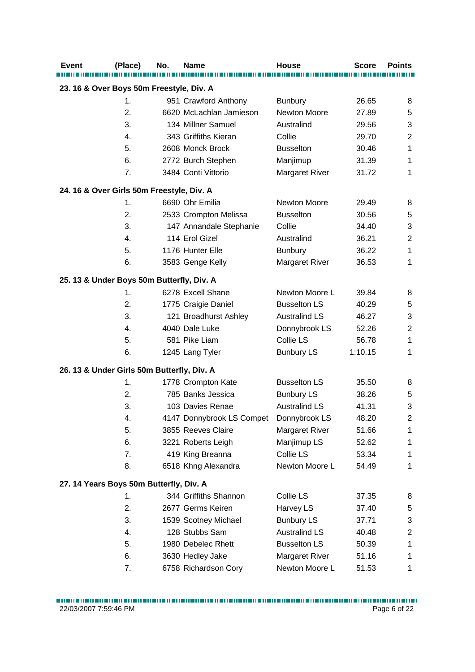| <b>Event</b>                             | (Place)                                    | No. | <b>Name</b>                            | House                 | <b>Score</b>   | <b>Points</b>  |  |  |
|------------------------------------------|--------------------------------------------|-----|----------------------------------------|-----------------------|----------------|----------------|--|--|
| 23. 16 & Over Boys 50m Freestyle, Div. A |                                            |     |                                        |                       |                |                |  |  |
|                                          | 1.                                         |     | 951 Crawford Anthony                   | <b>Bunbury</b>        | 26.65          | 8              |  |  |
|                                          | 2.                                         |     | 6620 McLachlan Jamieson                | Newton Moore          | 27.89          | 5              |  |  |
|                                          | 3.                                         |     | 134 Millner Samuel                     | Australind            | 29.56          | 3              |  |  |
|                                          | 4.                                         |     | 343 Griffiths Kieran                   | Collie                | 29.70          | $\mathbf 2$    |  |  |
|                                          | 5.                                         |     | 2608 Monck Brock                       | <b>Busselton</b>      | 30.46          | 1              |  |  |
|                                          | 6.                                         |     | 2772 Burch Stephen                     | Manjimup              | 31.39          | 1              |  |  |
|                                          | 7.                                         |     | 3484 Conti Vittorio                    | <b>Margaret River</b> | 31.72          | 1              |  |  |
|                                          | 24. 16 & Over Girls 50m Freestyle, Div. A  |     |                                        |                       |                |                |  |  |
|                                          | 1.                                         |     | 6690 Ohr Emilia                        | Newton Moore          | 29.49          | 8              |  |  |
|                                          | 2.                                         |     | 2533 Crompton Melissa                  | <b>Busselton</b>      | 30.56          | 5              |  |  |
|                                          | 3.                                         |     | 147 Annandale Stephanie                | Collie                | 34.40          | 3              |  |  |
|                                          | 4.                                         |     | 114 Erol Gizel                         | Australind            | 36.21          | $\overline{2}$ |  |  |
|                                          | 5.                                         |     | 1176 Hunter Elle                       | <b>Bunbury</b>        | 36.22          | 1              |  |  |
|                                          | 6.                                         |     | 3583 Genge Kelly                       | <b>Margaret River</b> | 36.53          | 1              |  |  |
|                                          | 25. 13 & Under Boys 50m Butterfly, Div. A  |     |                                        |                       |                |                |  |  |
|                                          | 1.                                         |     | 6278 Excell Shane                      | Newton Moore L        | 39.84          | 8              |  |  |
|                                          | 2.                                         |     | 1775 Craigie Daniel                    | <b>Busselton LS</b>   | 40.29          | 5              |  |  |
|                                          | 3.                                         |     | 121 Broadhurst Ashley                  | <b>Australind LS</b>  | 46.27          | 3              |  |  |
|                                          | 4.                                         |     | 4040 Dale Luke                         | Donnybrook LS         | 52.26          | $\overline{2}$ |  |  |
|                                          | 5.                                         |     | 581 Pike Liam                          | Collie LS             | 56.78          | 1              |  |  |
|                                          | 6.                                         |     | 1245 Lang Tyler                        | <b>Bunbury LS</b>     | 1:10.15        | 1              |  |  |
|                                          | 26. 13 & Under Girls 50m Butterfly, Div. A |     |                                        |                       |                |                |  |  |
|                                          | 1.                                         |     | 1778 Crompton Kate                     | <b>Busselton LS</b>   | 35.50          | 8              |  |  |
|                                          | 2.                                         |     | 785 Banks Jessica                      | <b>Bunbury LS</b>     | 38.26          | 5              |  |  |
|                                          | 3.                                         |     | 103 Davies Renae                       | <b>Australind LS</b>  | 41.31          | 3              |  |  |
|                                          | 4.                                         |     | 4147 Donnybrook LS Compet              | Donnybrook LS         | 48.20          | 2              |  |  |
|                                          | 5.                                         |     | 3855 Reeves Claire                     | <b>Margaret River</b> | 51.66          | 1              |  |  |
|                                          | 6.                                         |     | 3221 Roberts Leigh                     | Manjimup LS           | 52.62          | 1              |  |  |
|                                          | 7.                                         |     | 419 King Breanna                       | Collie LS             | 53.34          | 1              |  |  |
|                                          | 8.                                         |     | 6518 Khng Alexandra                    | Newton Moore L        | 54.49          | 1              |  |  |
|                                          | 27. 14 Years Boys 50m Butterfly, Div. A    |     |                                        |                       |                |                |  |  |
|                                          | 1.                                         |     | 344 Griffiths Shannon                  | Collie LS             | 37.35          | 8              |  |  |
|                                          | 2.                                         |     | 2677 Germs Keiren                      | Harvey LS             | 37.40          | 5              |  |  |
|                                          | 3.                                         |     |                                        | <b>Bunbury LS</b>     |                | 3              |  |  |
|                                          | 4.                                         |     | 1539 Scotney Michael<br>128 Stubbs Sam | <b>Australind LS</b>  | 37.71<br>40.48 | $\overline{2}$ |  |  |
|                                          | 5.                                         |     | 1980 Debelec Rhett                     | <b>Busselton LS</b>   | 50.39          | 1              |  |  |
|                                          | 6.                                         |     | 3630 Hedley Jake                       | <b>Margaret River</b> | 51.16          |                |  |  |
|                                          | 7.                                         |     |                                        | Newton Moore L        |                | 1              |  |  |
|                                          |                                            |     | 6758 Richardson Cory                   |                       | 51.53          | 1              |  |  |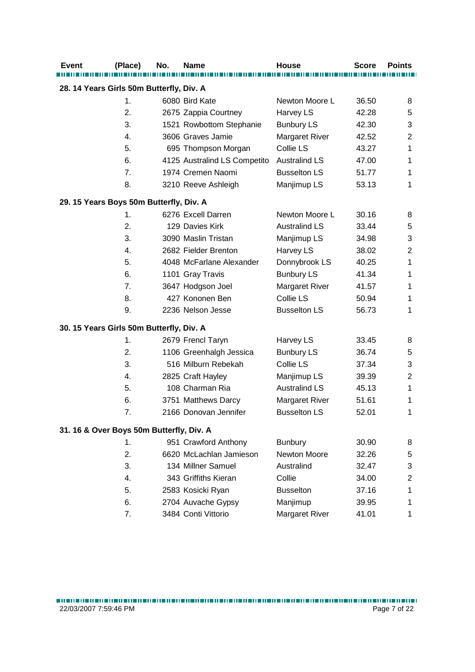| <b>Event</b>                             | (Place) | No. | <b>Name</b>                  | <b>House</b>          | <b>Score</b> | <b>Points</b>  |  |  |
|------------------------------------------|---------|-----|------------------------------|-----------------------|--------------|----------------|--|--|
| 28. 14 Years Girls 50m Butterfly, Div. A |         |     |                              |                       |              |                |  |  |
|                                          | 1.      |     | 6080 Bird Kate               | Newton Moore L        | 36.50        | 8              |  |  |
|                                          | 2.      |     | 2675 Zappia Courtney         | Harvey LS             | 42.28        | 5              |  |  |
|                                          | 3.      |     | 1521 Rowbottom Stephanie     | <b>Bunbury LS</b>     | 42.30        | 3              |  |  |
|                                          | 4.      |     | 3606 Graves Jamie            | <b>Margaret River</b> | 42.52        | $\overline{2}$ |  |  |
|                                          | 5.      |     | 695 Thompson Morgan          | Collie LS             | 43.27        | 1              |  |  |
|                                          | 6.      |     | 4125 Australind LS Competito | <b>Australind LS</b>  | 47.00        | 1              |  |  |
|                                          | 7.      |     | 1974 Cremen Naomi            | <b>Busselton LS</b>   | 51.77        | 1              |  |  |
|                                          | 8.      |     | 3210 Reeve Ashleigh          | Manjimup LS           | 53.13        | 1              |  |  |
| 29. 15 Years Boys 50m Butterfly, Div. A  |         |     |                              |                       |              |                |  |  |
|                                          | 1.      |     | 6276 Excell Darren           | Newton Moore L        | 30.16        | 8              |  |  |
|                                          | 2.      |     | 129 Davies Kirk              | <b>Australind LS</b>  | 33.44        | 5              |  |  |
|                                          | 3.      |     | 3090 Maslin Tristan          | Manjimup LS           | 34.98        | 3              |  |  |
|                                          | 4.      |     | 2682 Fielder Brenton         | Harvey LS             | 38.02        | $\mathbf 2$    |  |  |
|                                          | 5.      |     | 4048 McFarlane Alexander     | Donnybrook LS         | 40.25        | 1              |  |  |
|                                          | 6.      |     | 1101 Gray Travis             | <b>Bunbury LS</b>     | 41.34        | 1              |  |  |
|                                          | 7.      |     | 3647 Hodgson Joel            | <b>Margaret River</b> | 41.57        | 1              |  |  |
|                                          | 8.      |     | 427 Kononen Ben              | Collie LS             | 50.94        | 1              |  |  |
|                                          | 9.      |     | 2236 Nelson Jesse            | <b>Busselton LS</b>   | 56.73        | 1              |  |  |
| 30. 15 Years Girls 50m Butterfly, Div. A |         |     |                              |                       |              |                |  |  |
|                                          | 1.      |     | 2679 Frencl Taryn            | Harvey LS             | 33.45        | 8              |  |  |
|                                          | 2.      |     | 1106 Greenhalgh Jessica      | <b>Bunbury LS</b>     | 36.74        | 5              |  |  |
|                                          | 3.      |     | 516 Milburn Rebekah          | Collie LS             | 37.34        | 3              |  |  |
|                                          | 4.      |     | 2825 Craft Hayley            | Manjimup LS           | 39.39        | $\overline{2}$ |  |  |
|                                          | 5.      |     | 108 Charman Ria              | <b>Australind LS</b>  | 45.13        | 1              |  |  |
|                                          | 6.      |     | 3751 Matthews Darcy          | <b>Margaret River</b> | 51.61        | 1              |  |  |
|                                          | 7.      |     | 2166 Donovan Jennifer        | <b>Busselton LS</b>   | 52.01        | 1              |  |  |
| 31. 16 & Over Boys 50m Butterfly, Div. A |         |     |                              |                       |              |                |  |  |
|                                          | 1.      |     | 951 Crawford Anthony         | <b>Bunbury</b>        | 30.90        | 8              |  |  |
|                                          | 2.      |     | 6620 McLachlan Jamieson      | Newton Moore          | 32.26        | 5              |  |  |
|                                          | 3.      |     | 134 Millner Samuel           | Australind            | 32.47        | 3              |  |  |
|                                          | 4.      |     | 343 Griffiths Kieran         | Collie                | 34.00        | $\overline{2}$ |  |  |
|                                          | 5.      |     | 2583 Kosicki Ryan            | <b>Busselton</b>      | 37.16        | 1              |  |  |
|                                          | 6.      |     | 2704 Auvache Gypsy           | Manjimup              | 39.95        | 1              |  |  |
|                                          | 7.      |     | 3484 Conti Vittorio          | <b>Margaret River</b> | 41.01        | 1              |  |  |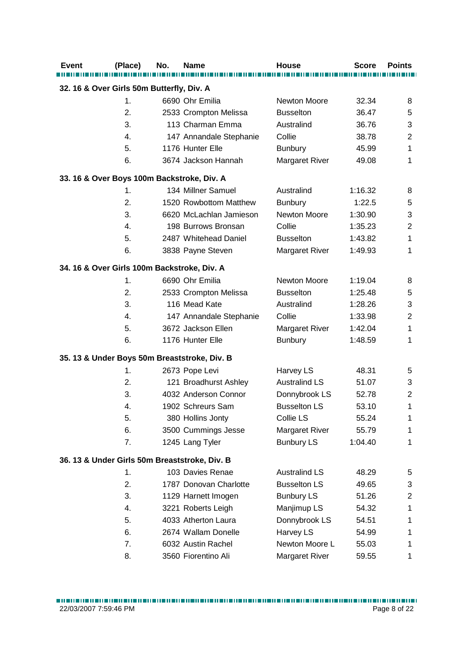| <b>Event</b>                                | (Place) | No. | <b>Name</b>                                   | House                 | <b>Score</b> | <b>Points</b>  |  |  |
|---------------------------------------------|---------|-----|-----------------------------------------------|-----------------------|--------------|----------------|--|--|
| 32. 16 & Over Girls 50m Butterfly, Div. A   |         |     |                                               |                       |              |                |  |  |
|                                             | 1.      |     | 6690 Ohr Emilia                               | <b>Newton Moore</b>   | 32.34        | 8              |  |  |
|                                             | 2.      |     | 2533 Crompton Melissa                         | <b>Busselton</b>      | 36.47        | 5              |  |  |
|                                             | 3.      |     | 113 Charman Emma                              | Australind            | 36.76        | 3              |  |  |
|                                             | 4.      |     | 147 Annandale Stephanie                       | Collie                | 38.78        | $\overline{2}$ |  |  |
|                                             | 5.      |     | 1176 Hunter Elle                              | <b>Bunbury</b>        | 45.99        | 1              |  |  |
|                                             | 6.      |     | 3674 Jackson Hannah                           | Margaret River        | 49.08        | 1              |  |  |
| 33. 16 & Over Boys 100m Backstroke, Div. A  |         |     |                                               |                       |              |                |  |  |
|                                             | 1.      |     | 134 Millner Samuel                            | Australind            | 1:16.32      | 8              |  |  |
|                                             | 2.      |     | 1520 Rowbottom Matthew                        | <b>Bunbury</b>        | 1:22.5       | 5              |  |  |
|                                             | 3.      |     | 6620 McLachlan Jamieson                       | Newton Moore          | 1:30.90      | 3              |  |  |
|                                             | 4.      |     | 198 Burrows Bronsan                           | Collie                | 1:35.23      | $\overline{2}$ |  |  |
|                                             | 5.      |     | 2487 Whitehead Daniel                         | <b>Busselton</b>      | 1:43.82      | 1              |  |  |
|                                             | 6.      |     | 3838 Payne Steven                             | <b>Margaret River</b> | 1:49.93      | 1              |  |  |
| 34. 16 & Over Girls 100m Backstroke, Div. A |         |     |                                               |                       |              |                |  |  |
|                                             | 1.      |     | 6690 Ohr Emilia                               | Newton Moore          | 1:19.04      | 8              |  |  |
|                                             | 2.      |     | 2533 Crompton Melissa                         | <b>Busselton</b>      | 1:25.48      | 5              |  |  |
|                                             | 3.      |     | 116 Mead Kate                                 | Australind            | 1:28.26      | 3              |  |  |
|                                             | 4.      |     | 147 Annandale Stephanie                       | Collie                | 1:33.98      | $\mathbf 2$    |  |  |
|                                             | 5.      |     | 3672 Jackson Ellen                            | <b>Margaret River</b> | 1:42.04      | 1              |  |  |
|                                             | 6.      |     | 1176 Hunter Elle                              | <b>Bunbury</b>        | 1:48.59      | 1              |  |  |
|                                             |         |     | 35. 13 & Under Boys 50m Breaststroke, Div. B  |                       |              |                |  |  |
|                                             | 1.      |     | 2673 Pope Levi                                | Harvey LS             | 48.31        | 5              |  |  |
|                                             | 2.      |     | 121 Broadhurst Ashley                         | <b>Australind LS</b>  | 51.07        | 3              |  |  |
|                                             | 3.      |     | 4032 Anderson Connor                          | Donnybrook LS         | 52.78        | $\overline{2}$ |  |  |
|                                             | 4.      |     | 1902 Schreurs Sam                             | <b>Busselton LS</b>   | 53.10        | 1              |  |  |
|                                             | 5.      |     | 380 Hollins Jonty                             | Collie LS             | 55.24        | 1              |  |  |
|                                             | 6.      |     | 3500 Cummings Jesse                           | <b>Margaret River</b> | 55.79        | 1              |  |  |
|                                             | 7.      |     | 1245 Lang Tyler                               | <b>Bunbury LS</b>     | 1:04.40      | 1              |  |  |
|                                             |         |     | 36. 13 & Under Girls 50m Breaststroke, Div. B |                       |              |                |  |  |
|                                             | 1.      |     | 103 Davies Renae                              | <b>Australind LS</b>  | 48.29        | 5              |  |  |
|                                             | 2.      |     | 1787 Donovan Charlotte                        | <b>Busselton LS</b>   | 49.65        | 3              |  |  |
|                                             | 3.      |     | 1129 Harnett Imogen                           | <b>Bunbury LS</b>     | 51.26        | $\overline{2}$ |  |  |
|                                             | 4.      |     | 3221 Roberts Leigh                            | Manjimup LS           | 54.32        | 1              |  |  |
|                                             | 5.      |     | 4033 Atherton Laura                           | Donnybrook LS         | 54.51        | 1              |  |  |
|                                             | 6.      |     | 2674 Wallam Donelle                           | Harvey LS             | 54.99        | 1              |  |  |
|                                             | 7.      |     | 6032 Austin Rachel                            | Newton Moore L        | 55.03        | 1              |  |  |
|                                             | 8.      |     | 3560 Fiorentino Ali                           | <b>Margaret River</b> | 59.55        | 1              |  |  |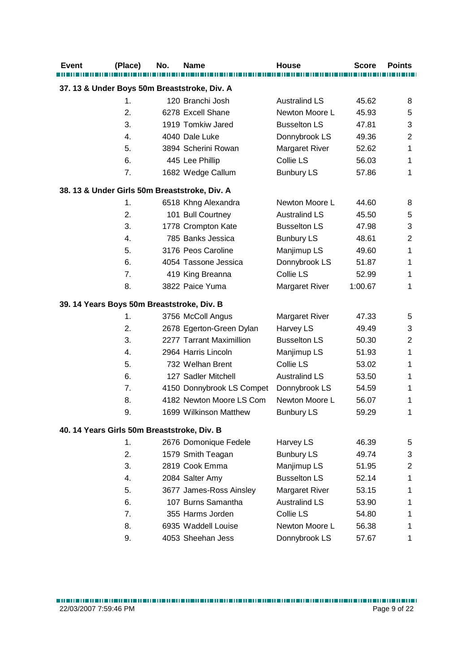| <b>Event</b> | (Place)                                     | No. | Name                                          | <b>House</b>          | <b>Score</b> | <b>Points</b>  |
|--------------|---------------------------------------------|-----|-----------------------------------------------|-----------------------|--------------|----------------|
|              |                                             |     | 37. 13 & Under Boys 50m Breaststroke, Div. A  |                       |              |                |
|              | 1.                                          |     | 120 Branchi Josh                              | <b>Australind LS</b>  | 45.62        | 8              |
|              | 2.                                          |     | 6278 Excell Shane                             | Newton Moore L        | 45.93        | 5              |
|              | 3.                                          |     | 1919 Tomkiw Jared                             | <b>Busselton LS</b>   | 47.81        | 3              |
|              | 4.                                          |     | 4040 Dale Luke                                | Donnybrook LS         | 49.36        | $\overline{c}$ |
|              | 5.                                          |     | 3894 Scherini Rowan                           | <b>Margaret River</b> | 52.62        | 1              |
|              | 6.                                          |     | 445 Lee Phillip                               | Collie LS             | 56.03        | 1              |
|              | 7.                                          |     | 1682 Wedge Callum                             | <b>Bunbury LS</b>     | 57.86        | $\mathbf{1}$   |
|              |                                             |     | 38. 13 & Under Girls 50m Breaststroke, Div. A |                       |              |                |
|              | 1.                                          |     | 6518 Khng Alexandra                           | Newton Moore L        | 44.60        | 8              |
|              | 2.                                          |     | 101 Bull Courtney                             | <b>Australind LS</b>  | 45.50        | 5              |
|              | 3.                                          |     | 1778 Crompton Kate                            | <b>Busselton LS</b>   | 47.98        | 3              |
|              | 4.                                          |     | 785 Banks Jessica                             | <b>Bunbury LS</b>     | 48.61        | $\overline{2}$ |
|              | 5.                                          |     | 3176 Peos Caroline                            | Manjimup LS           | 49.60        | $\mathbf 1$    |
|              | 6.                                          |     | 4054 Tassone Jessica                          | Donnybrook LS         | 51.87        | 1              |
|              | 7.                                          |     | 419 King Breanna                              | Collie LS             | 52.99        | 1              |
|              | 8.                                          |     | 3822 Paice Yuma                               | Margaret River        | 1:00.67      | $\mathbf{1}$   |
|              | 39. 14 Years Boys 50m Breaststroke, Div. B  |     |                                               |                       |              |                |
|              | 1.                                          |     | 3756 McColl Angus                             | <b>Margaret River</b> | 47.33        | 5              |
|              | 2.                                          |     | 2678 Egerton-Green Dylan                      | Harvey LS             | 49.49        | 3              |
|              | 3.                                          |     | 2277 Tarrant Maximillion                      | <b>Busselton LS</b>   | 50.30        | $\overline{2}$ |
|              | 4.                                          |     | 2964 Harris Lincoln                           | Manjimup LS           | 51.93        | 1              |
|              | 5.                                          |     | 732 Welhan Brent                              | Collie LS             | 53.02        | 1              |
|              | 6.                                          |     | 127 Sadler Mitchell                           | <b>Australind LS</b>  | 53.50        | 1              |
|              | 7.                                          |     | 4150 Donnybrook LS Compet                     | Donnybrook LS         | 54.59        | 1              |
|              | 8.                                          |     | 4182 Newton Moore LS Com                      | Newton Moore L        | 56.07        | 1              |
|              | 9.                                          |     | 1699 Wilkinson Matthew                        | <b>Bunbury LS</b>     | 59.29        | 1              |
|              | 40. 14 Years Girls 50m Breaststroke, Div. B |     |                                               |                       |              |                |
|              | 1.                                          |     | 2676 Domonique Fedele                         | Harvey LS             | 46.39        | 5              |
|              | 2.                                          |     | 1579 Smith Teagan                             | <b>Bunbury LS</b>     | 49.74        | 3              |
|              | 3.                                          |     | 2819 Cook Emma                                | Manjimup LS           | 51.95        | $\overline{2}$ |
|              | 4.                                          |     | 2084 Salter Amy                               | <b>Busselton LS</b>   | 52.14        | 1              |
|              | 5.                                          |     | 3677 James-Ross Ainsley                       | Margaret River        | 53.15        | 1              |
|              | 6.                                          |     | 107 Burns Samantha                            | <b>Australind LS</b>  | 53.90        | 1              |
|              | 7.                                          |     | 355 Harms Jorden                              | Collie LS             | 54.80        | 1              |
|              | 8.                                          |     | 6935 Waddell Louise                           | Newton Moore L        | 56.38        | 1              |
|              | 9.                                          |     | 4053 Sheehan Jess                             | Donnybrook LS         | 57.67        | 1              |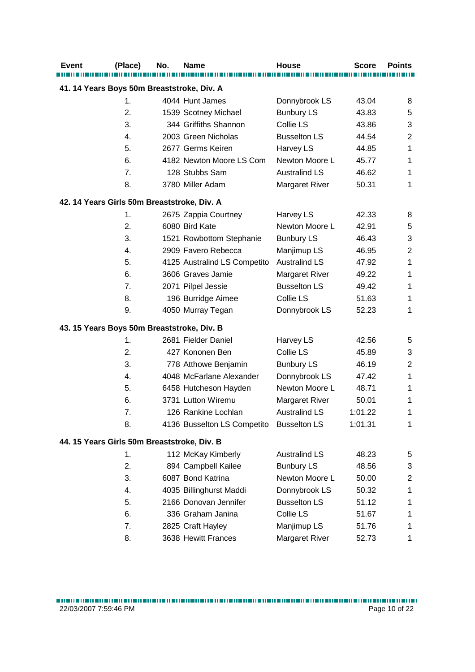| <b>Event</b>                                | (Place) | No. | <b>Name</b>                  | <b>House</b>          | <b>Score</b> | <b>Points</b>  |  |  |
|---------------------------------------------|---------|-----|------------------------------|-----------------------|--------------|----------------|--|--|
| 41. 14 Years Boys 50m Breaststroke, Div. A  |         |     |                              |                       |              |                |  |  |
|                                             | 1.      |     | 4044 Hunt James              | Donnybrook LS         | 43.04        | 8              |  |  |
|                                             | 2.      |     | 1539 Scotney Michael         | <b>Bunbury LS</b>     | 43.83        | 5              |  |  |
|                                             | 3.      |     | 344 Griffiths Shannon        | Collie LS             | 43.86        | 3              |  |  |
|                                             | 4.      |     | 2003 Green Nicholas          | <b>Busselton LS</b>   | 44.54        | $\overline{2}$ |  |  |
|                                             | 5.      |     | 2677 Germs Keiren            | Harvey LS             | 44.85        | 1              |  |  |
|                                             | 6.      |     | 4182 Newton Moore LS Com     | Newton Moore L        | 45.77        | 1              |  |  |
|                                             | 7.      |     | 128 Stubbs Sam               | <b>Australind LS</b>  | 46.62        | 1              |  |  |
|                                             | 8.      |     | 3780 Miller Adam             | <b>Margaret River</b> | 50.31        | 1              |  |  |
| 42. 14 Years Girls 50m Breaststroke, Div. A |         |     |                              |                       |              |                |  |  |
|                                             | 1.      |     | 2675 Zappia Courtney         | Harvey LS             | 42.33        | 8              |  |  |
|                                             | 2.      |     | 6080 Bird Kate               | Newton Moore L        | 42.91        | 5              |  |  |
|                                             | 3.      |     | 1521 Rowbottom Stephanie     | <b>Bunbury LS</b>     | 46.43        | 3              |  |  |
|                                             | 4.      |     | 2909 Favero Rebecca          | Manjimup LS           | 46.95        | 2              |  |  |
|                                             | 5.      |     | 4125 Australind LS Competito | <b>Australind LS</b>  | 47.92        | 1              |  |  |
|                                             | 6.      |     | 3606 Graves Jamie            | <b>Margaret River</b> | 49.22        | 1              |  |  |
|                                             | 7.      |     | 2071 Pilpel Jessie           | <b>Busselton LS</b>   | 49.42        | 1              |  |  |
|                                             | 8.      |     | 196 Burridge Aimee           | Collie LS             | 51.63        | 1              |  |  |
|                                             | 9.      |     | 4050 Murray Tegan            | Donnybrook LS         | 52.23        | 1              |  |  |
| 43. 15 Years Boys 50m Breaststroke, Div. B  |         |     |                              |                       |              |                |  |  |
|                                             | 1.      |     | 2681 Fielder Daniel          | Harvey LS             | 42.56        | 5              |  |  |
|                                             | 2.      |     | 427 Kononen Ben              | Collie LS             | 45.89        | 3              |  |  |
|                                             | 3.      |     | 778 Atthowe Benjamin         | <b>Bunbury LS</b>     | 46.19        | 2              |  |  |
|                                             | 4.      |     | 4048 McFarlane Alexander     | Donnybrook LS         | 47.42        | 1              |  |  |
|                                             | 5.      |     | 6458 Hutcheson Hayden        | Newton Moore L        | 48.71        | 1              |  |  |
|                                             | 6.      |     | 3731 Lutton Wiremu           | <b>Margaret River</b> | 50.01        | 1              |  |  |
|                                             | 7.      |     | 126 Rankine Lochlan          | <b>Australind LS</b>  | 1:01.22      | 1              |  |  |
|                                             | 8.      |     | 4136 Busselton LS Competito  | <b>Busselton LS</b>   | 1:01.31      | 1              |  |  |
| 44. 15 Years Girls 50m Breaststroke, Div. B |         |     |                              |                       |              |                |  |  |
|                                             | 1.      |     | 112 McKay Kimberly           | <b>Australind LS</b>  | 48.23        | 5              |  |  |
|                                             | 2.      |     | 894 Campbell Kailee          | <b>Bunbury LS</b>     | 48.56        | 3              |  |  |
|                                             | 3.      |     | 6087 Bond Katrina            | Newton Moore L        | 50.00        | 2              |  |  |
|                                             | 4.      |     | 4035 Billinghurst Maddi      | Donnybrook LS         | 50.32        | 1              |  |  |
|                                             | 5.      |     | 2166 Donovan Jennifer        | <b>Busselton LS</b>   | 51.12        | 1              |  |  |
|                                             | 6.      |     | 336 Graham Janina            | Collie LS             | 51.67        | 1              |  |  |
|                                             | 7.      |     | 2825 Craft Hayley            | Manjimup LS           | 51.76        | 1              |  |  |
|                                             | 8.      |     | 3638 Hewitt Frances          | Margaret River        | 52.73        | 1              |  |  |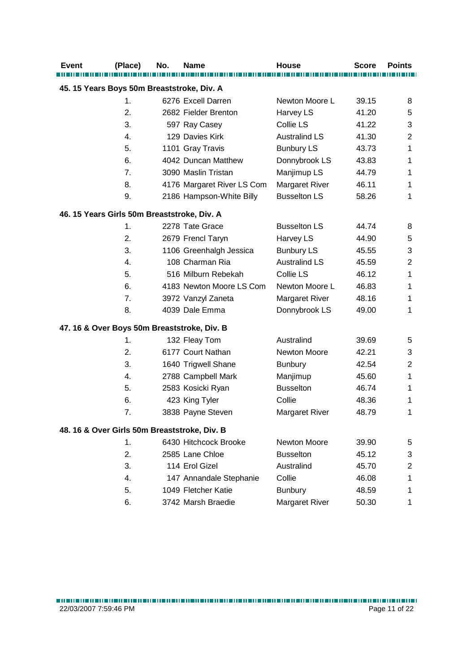| <b>Event</b>                                | (Place) | No. | <b>Name</b>                                  | <b>House</b>          | <b>Score</b> | <b>Points</b>  |  |  |
|---------------------------------------------|---------|-----|----------------------------------------------|-----------------------|--------------|----------------|--|--|
| 45. 15 Years Boys 50m Breaststroke, Div. A  |         |     |                                              |                       |              |                |  |  |
|                                             | 1.      |     | 6276 Excell Darren                           | Newton Moore L        | 39.15        | 8              |  |  |
|                                             | 2.      |     | 2682 Fielder Brenton                         | Harvey LS             | 41.20        | 5              |  |  |
|                                             | 3.      |     | 597 Ray Casey                                | Collie LS             | 41.22        | 3              |  |  |
|                                             | 4.      |     | 129 Davies Kirk                              | <b>Australind LS</b>  | 41.30        | 2              |  |  |
|                                             | 5.      |     | 1101 Gray Travis                             | <b>Bunbury LS</b>     | 43.73        | 1              |  |  |
|                                             | 6.      |     | 4042 Duncan Matthew                          | Donnybrook LS         | 43.83        | 1              |  |  |
|                                             | 7.      |     | 3090 Maslin Tristan                          | Manjimup LS           | 44.79        | 1              |  |  |
|                                             | 8.      |     | 4176 Margaret River LS Com                   | Margaret River        | 46.11        | 1              |  |  |
|                                             | 9.      |     | 2186 Hampson-White Billy                     | <b>Busselton LS</b>   | 58.26        | 1              |  |  |
| 46. 15 Years Girls 50m Breaststroke, Div. A |         |     |                                              |                       |              |                |  |  |
|                                             | 1.      |     | 2278 Tate Grace                              | <b>Busselton LS</b>   | 44.74        | 8              |  |  |
|                                             | 2.      |     | 2679 Frencl Taryn                            | Harvey LS             | 44.90        | 5              |  |  |
|                                             | 3.      |     | 1106 Greenhalgh Jessica                      | <b>Bunbury LS</b>     | 45.55        | 3              |  |  |
|                                             | 4.      |     | 108 Charman Ria                              | <b>Australind LS</b>  | 45.59        | $\overline{2}$ |  |  |
|                                             | 5.      |     | 516 Milburn Rebekah                          | Collie LS             | 46.12        | 1              |  |  |
|                                             | 6.      |     | 4183 Newton Moore LS Com                     | Newton Moore L        | 46.83        | 1              |  |  |
|                                             | 7.      |     | 3972 Vanzyl Zaneta                           | <b>Margaret River</b> | 48.16        | 1              |  |  |
|                                             | 8.      |     | 4039 Dale Emma                               | Donnybrook LS         | 49.00        | 1              |  |  |
|                                             |         |     | 47. 16 & Over Boys 50m Breaststroke, Div. B  |                       |              |                |  |  |
|                                             | 1.      |     | 132 Fleay Tom                                | Australind            | 39.69        | 5              |  |  |
|                                             | 2.      |     | 6177 Court Nathan                            | Newton Moore          | 42.21        | 3              |  |  |
|                                             | 3.      |     | 1640 Trigwell Shane                          | <b>Bunbury</b>        | 42.54        | 2              |  |  |
|                                             | 4.      |     | 2788 Campbell Mark                           | Manjimup              | 45.60        | 1              |  |  |
|                                             | 5.      |     | 2583 Kosicki Ryan                            | <b>Busselton</b>      | 46.74        | 1              |  |  |
|                                             | 6.      |     | 423 King Tyler                               | Collie                | 48.36        | 1              |  |  |
|                                             | 7.      |     | 3838 Payne Steven                            | <b>Margaret River</b> | 48.79        | 1              |  |  |
|                                             |         |     | 48. 16 & Over Girls 50m Breaststroke, Div. B |                       |              |                |  |  |
|                                             | 1.      |     | 6430 Hitchcock Brooke                        | Newton Moore          | 39.90        | 5              |  |  |
|                                             | 2.      |     | 2585 Lane Chloe                              | <b>Busselton</b>      | 45.12        | 3              |  |  |
|                                             | 3.      |     | 114 Erol Gizel                               | Australind            | 45.70        | 2              |  |  |
|                                             | 4.      |     | 147 Annandale Stephanie                      | Collie                | 46.08        | 1              |  |  |
|                                             | 5.      |     | 1049 Fletcher Katie                          | <b>Bunbury</b>        | 48.59        | 1              |  |  |
|                                             | 6.      |     | 3742 Marsh Braedie                           | Margaret River        | 50.30        | 1              |  |  |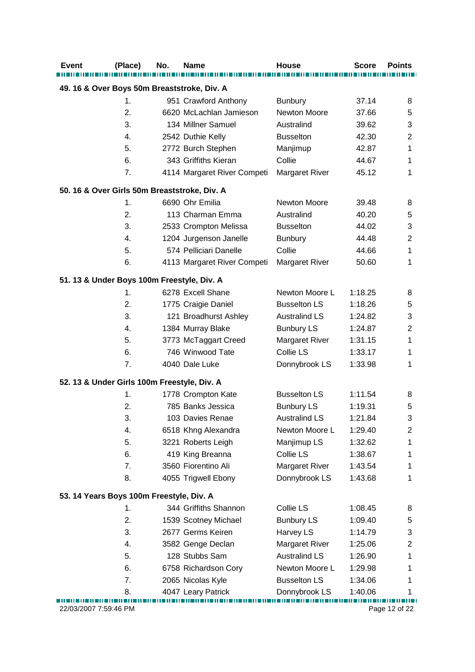| <b>Event</b>                                 | (Place) | No. | <b>Name</b>                 | <b>House</b>          | <b>Score</b> | <b>Points</b>  |  |
|----------------------------------------------|---------|-----|-----------------------------|-----------------------|--------------|----------------|--|
| 49. 16 & Over Boys 50m Breaststroke, Div. A  |         |     |                             |                       |              |                |  |
|                                              | 1.      |     | 951 Crawford Anthony        | <b>Bunbury</b>        | 37.14        | 8              |  |
|                                              | 2.      |     | 6620 McLachlan Jamieson     | Newton Moore          | 37.66        | 5              |  |
|                                              | 3.      |     | 134 Millner Samuel          | Australind            | 39.62        | 3              |  |
|                                              | 4.      |     | 2542 Duthie Kelly           | <b>Busselton</b>      | 42.30        | 2              |  |
|                                              | 5.      |     | 2772 Burch Stephen          | Manjimup              | 42.87        | 1              |  |
|                                              | 6.      |     | 343 Griffiths Kieran        | Collie                | 44.67        | 1              |  |
|                                              | 7.      |     | 4114 Margaret River Competi | <b>Margaret River</b> | 45.12        | 1              |  |
| 50. 16 & Over Girls 50m Breaststroke, Div. A |         |     |                             |                       |              |                |  |
|                                              | 1.      |     | 6690 Ohr Emilia             | Newton Moore          | 39.48        | 8              |  |
|                                              | 2.      |     | 113 Charman Emma            | Australind            | 40.20        | 5              |  |
|                                              | 3.      |     | 2533 Crompton Melissa       | <b>Busselton</b>      | 44.02        | 3              |  |
|                                              | 4.      |     | 1204 Jurgenson Janelle      | <b>Bunbury</b>        | 44.48        | 2              |  |
|                                              | 5.      |     | 574 Pelliciari Danelle      | Collie                | 44.66        | 1              |  |
|                                              | 6.      |     | 4113 Margaret River Competi | <b>Margaret River</b> | 50.60        | 1              |  |
| 51. 13 & Under Boys 100m Freestyle, Div. A   |         |     |                             |                       |              |                |  |
|                                              | 1.      |     | 6278 Excell Shane           | Newton Moore L        | 1:18.25      | 8              |  |
|                                              | 2.      |     | 1775 Craigie Daniel         | <b>Busselton LS</b>   | 1:18.26      | 5              |  |
|                                              | 3.      |     | 121 Broadhurst Ashley       | <b>Australind LS</b>  | 1:24.82      | 3              |  |
|                                              | 4.      |     | 1384 Murray Blake           | <b>Bunbury LS</b>     | 1:24.87      | $\overline{2}$ |  |
|                                              | 5.      |     | 3773 McTaggart Creed        | <b>Margaret River</b> | 1:31.15      | 1              |  |
|                                              | 6.      |     | 746 Winwood Tate            | Collie LS             | 1:33.17      | 1              |  |
|                                              | 7.      |     | 4040 Dale Luke              | Donnybrook LS         | 1:33.98      | 1              |  |
| 52. 13 & Under Girls 100m Freestyle, Div. A  |         |     |                             |                       |              |                |  |
|                                              | 1.      |     | 1778 Crompton Kate          | <b>Busselton LS</b>   | 1:11.54      | 8              |  |
|                                              | 2.      |     | 785 Banks Jessica           | <b>Bunbury LS</b>     | 1:19.31      | 5              |  |
|                                              | 3.      |     | 103 Davies Renae            | <b>Australind LS</b>  | 1:21.84      | 3              |  |
|                                              | 4.      |     | 6518 Khng Alexandra         | Newton Moore L        | 1:29.40      | 2              |  |
|                                              | 5.      |     | 3221 Roberts Leigh          | Manjimup LS           | 1:32.62      | 1              |  |
|                                              | 6.      |     | 419 King Breanna            | Collie LS             | 1:38.67      | 1              |  |
|                                              | 7.      |     | 3560 Fiorentino Ali         | <b>Margaret River</b> | 1:43.54      | 1              |  |
|                                              | 8.      |     | 4055 Trigwell Ebony         | Donnybrook LS         | 1:43.68      | 1              |  |
| 53. 14 Years Boys 100m Freestyle, Div. A     |         |     |                             |                       |              |                |  |
|                                              | 1.      |     | 344 Griffiths Shannon       | Collie LS             | 1:08.45      | 8              |  |
|                                              | 2.      |     | 1539 Scotney Michael        | <b>Bunbury LS</b>     | 1:09.40      | 5              |  |
|                                              | 3.      |     | 2677 Germs Keiren           | Harvey LS             | 1:14.79      | 3              |  |
|                                              | 4.      |     | 3582 Genge Declan           | <b>Margaret River</b> | 1:25.06      | 2              |  |
|                                              | 5.      |     | 128 Stubbs Sam              | <b>Australind LS</b>  | 1:26.90      | 1              |  |
|                                              | 6.      |     | 6758 Richardson Cory        | Newton Moore L        | 1:29.98      | 1              |  |
|                                              | 7.      |     | 2065 Nicolas Kyle           | <b>Busselton LS</b>   | 1:34.06      | 1              |  |
|                                              | 8.      |     | 4047 Leary Patrick          | Donnybrook LS         | 1:40.06      |                |  |
| 22/03/2007 7:59:46 PM                        |         |     |                             |                       |              | Page 12 of 22  |  |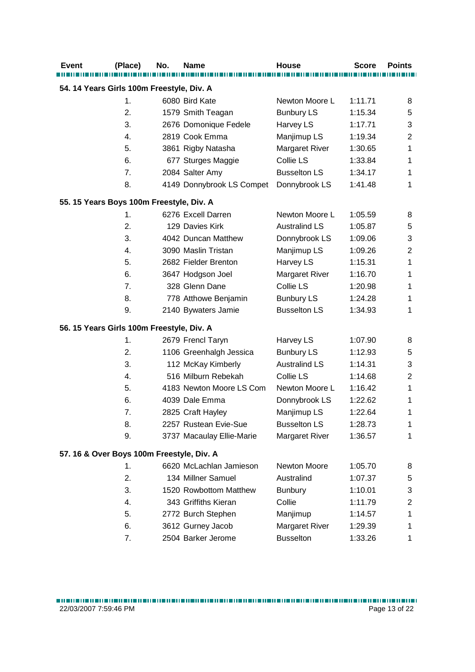| 54. 14 Years Girls 100m Freestyle, Div. A<br>1.<br>6080 Bird Kate<br>Newton Moore L<br>1:11.71<br>8<br>2.<br>1579 Smith Teagan<br><b>Bunbury LS</b><br>1:15.34<br>5<br>3.<br>2676 Domonique Fedele<br>Harvey LS<br>3<br>1:17.71<br>2819 Cook Emma<br>Manjimup LS<br>4.<br>1:19.34<br>2<br>5.<br>3861 Rigby Natasha<br><b>Margaret River</b><br>1:30.65<br>1<br>Collie LS<br>6.<br>677 Sturges Maggie<br>1:33.84<br>1<br>7.<br><b>Busselton LS</b><br>2084 Salter Amy<br>1:34.17<br>1<br>8.<br>Donnybrook LS<br>4149 Donnybrook LS Compet<br>1:41.48<br>1<br>55. 15 Years Boys 100m Freestyle, Div. A<br>Newton Moore L<br>6276 Excell Darren<br>1:05.59<br>1.<br>8<br>129 Davies Kirk<br><b>Australind LS</b><br>2.<br>1:05.87<br>5<br>3.<br>4042 Duncan Matthew<br>Donnybrook LS<br>1:09.06<br>3<br>Manjimup LS<br>4.<br>3090 Maslin Tristan<br>1:09.26<br>2<br>5.<br>2682 Fielder Brenton<br>Harvey LS<br>1:15.31<br>1<br>6.<br>3647 Hodgson Joel<br><b>Margaret River</b><br>1:16.70<br>1<br>7.<br>328 Glenn Dane<br>Collie LS<br>1:20.98<br>1<br><b>Bunbury LS</b><br>8.<br>778 Atthowe Benjamin<br>1:24.28<br>1<br>9.<br><b>Busselton LS</b><br>2140 Bywaters Jamie<br>1:34.93<br>1<br>56. 15 Years Girls 100m Freestyle, Div. A<br>1.<br>2679 Frencl Taryn<br>Harvey LS<br>1:07.90<br>8<br><b>Bunbury LS</b><br>2.<br>1106 Greenhalgh Jessica<br>1:12.93<br>5<br>3.<br>112 McKay Kimberly<br><b>Australind LS</b><br>1:14.31<br>3<br>516 Milburn Rebekah<br>Collie LS<br>4.<br>1:14.68<br>2<br>5.<br>Newton Moore L<br>4183 Newton Moore LS Com<br>1:16.42<br>1<br>6.<br>4039 Dale Emma<br>Donnybrook LS<br>1:22.62<br>1<br>7.<br>2825 Craft Hayley<br>Manjimup LS<br>1:22.64<br>1<br>2257 Rustean Evie-Sue<br><b>Busselton LS</b><br>8.<br>1:28.73<br>1<br>9.<br>3737 Macaulay Ellie-Marie<br><b>Margaret River</b><br>1:36.57<br>1<br>57. 16 & Over Boys 100m Freestyle, Div. A<br>1.<br>6620 McLachlan Jamieson<br>Newton Moore<br>1:05.70<br>8<br>2.<br>134 Millner Samuel<br>Australind<br>1:07.37<br>5<br>3.<br>1520 Rowbottom Matthew<br>1:10.01<br><b>Bunbury</b><br>3<br>Collie<br>$\overline{4}$ .<br>343 Griffiths Kieran<br>1:11.79<br>2<br>5.<br>2772 Burch Stephen<br>Manjimup<br>1:14.57<br>1<br>6.<br>3612 Gurney Jacob<br><b>Margaret River</b><br>1:29.39<br>1<br>2504 Barker Jerome<br><b>Busselton</b><br>7.<br>1:33.26<br>1 | <b>Event</b> | (Place) | No. | <b>Name</b> | <b>House</b> | <b>Score</b> | <b>Points</b> |
|--------------------------------------------------------------------------------------------------------------------------------------------------------------------------------------------------------------------------------------------------------------------------------------------------------------------------------------------------------------------------------------------------------------------------------------------------------------------------------------------------------------------------------------------------------------------------------------------------------------------------------------------------------------------------------------------------------------------------------------------------------------------------------------------------------------------------------------------------------------------------------------------------------------------------------------------------------------------------------------------------------------------------------------------------------------------------------------------------------------------------------------------------------------------------------------------------------------------------------------------------------------------------------------------------------------------------------------------------------------------------------------------------------------------------------------------------------------------------------------------------------------------------------------------------------------------------------------------------------------------------------------------------------------------------------------------------------------------------------------------------------------------------------------------------------------------------------------------------------------------------------------------------------------------------------------------------------------------------------------------------------------------------------------------------------------------------------------------------------------------------------------------------------------------------------------------------------------------------------------------------------------------------------------------------------------------------------------------------------|--------------|---------|-----|-------------|--------------|--------------|---------------|
|                                                                                                                                                                                                                                                                                                                                                                                                                                                                                                                                                                                                                                                                                                                                                                                                                                                                                                                                                                                                                                                                                                                                                                                                                                                                                                                                                                                                                                                                                                                                                                                                                                                                                                                                                                                                                                                                                                                                                                                                                                                                                                                                                                                                                                                                                                                                                        |              |         |     |             |              |              |               |
|                                                                                                                                                                                                                                                                                                                                                                                                                                                                                                                                                                                                                                                                                                                                                                                                                                                                                                                                                                                                                                                                                                                                                                                                                                                                                                                                                                                                                                                                                                                                                                                                                                                                                                                                                                                                                                                                                                                                                                                                                                                                                                                                                                                                                                                                                                                                                        |              |         |     |             |              |              |               |
|                                                                                                                                                                                                                                                                                                                                                                                                                                                                                                                                                                                                                                                                                                                                                                                                                                                                                                                                                                                                                                                                                                                                                                                                                                                                                                                                                                                                                                                                                                                                                                                                                                                                                                                                                                                                                                                                                                                                                                                                                                                                                                                                                                                                                                                                                                                                                        |              |         |     |             |              |              |               |
|                                                                                                                                                                                                                                                                                                                                                                                                                                                                                                                                                                                                                                                                                                                                                                                                                                                                                                                                                                                                                                                                                                                                                                                                                                                                                                                                                                                                                                                                                                                                                                                                                                                                                                                                                                                                                                                                                                                                                                                                                                                                                                                                                                                                                                                                                                                                                        |              |         |     |             |              |              |               |
|                                                                                                                                                                                                                                                                                                                                                                                                                                                                                                                                                                                                                                                                                                                                                                                                                                                                                                                                                                                                                                                                                                                                                                                                                                                                                                                                                                                                                                                                                                                                                                                                                                                                                                                                                                                                                                                                                                                                                                                                                                                                                                                                                                                                                                                                                                                                                        |              |         |     |             |              |              |               |
|                                                                                                                                                                                                                                                                                                                                                                                                                                                                                                                                                                                                                                                                                                                                                                                                                                                                                                                                                                                                                                                                                                                                                                                                                                                                                                                                                                                                                                                                                                                                                                                                                                                                                                                                                                                                                                                                                                                                                                                                                                                                                                                                                                                                                                                                                                                                                        |              |         |     |             |              |              |               |
|                                                                                                                                                                                                                                                                                                                                                                                                                                                                                                                                                                                                                                                                                                                                                                                                                                                                                                                                                                                                                                                                                                                                                                                                                                                                                                                                                                                                                                                                                                                                                                                                                                                                                                                                                                                                                                                                                                                                                                                                                                                                                                                                                                                                                                                                                                                                                        |              |         |     |             |              |              |               |
|                                                                                                                                                                                                                                                                                                                                                                                                                                                                                                                                                                                                                                                                                                                                                                                                                                                                                                                                                                                                                                                                                                                                                                                                                                                                                                                                                                                                                                                                                                                                                                                                                                                                                                                                                                                                                                                                                                                                                                                                                                                                                                                                                                                                                                                                                                                                                        |              |         |     |             |              |              |               |
|                                                                                                                                                                                                                                                                                                                                                                                                                                                                                                                                                                                                                                                                                                                                                                                                                                                                                                                                                                                                                                                                                                                                                                                                                                                                                                                                                                                                                                                                                                                                                                                                                                                                                                                                                                                                                                                                                                                                                                                                                                                                                                                                                                                                                                                                                                                                                        |              |         |     |             |              |              |               |
|                                                                                                                                                                                                                                                                                                                                                                                                                                                                                                                                                                                                                                                                                                                                                                                                                                                                                                                                                                                                                                                                                                                                                                                                                                                                                                                                                                                                                                                                                                                                                                                                                                                                                                                                                                                                                                                                                                                                                                                                                                                                                                                                                                                                                                                                                                                                                        |              |         |     |             |              |              |               |
|                                                                                                                                                                                                                                                                                                                                                                                                                                                                                                                                                                                                                                                                                                                                                                                                                                                                                                                                                                                                                                                                                                                                                                                                                                                                                                                                                                                                                                                                                                                                                                                                                                                                                                                                                                                                                                                                                                                                                                                                                                                                                                                                                                                                                                                                                                                                                        |              |         |     |             |              |              |               |
|                                                                                                                                                                                                                                                                                                                                                                                                                                                                                                                                                                                                                                                                                                                                                                                                                                                                                                                                                                                                                                                                                                                                                                                                                                                                                                                                                                                                                                                                                                                                                                                                                                                                                                                                                                                                                                                                                                                                                                                                                                                                                                                                                                                                                                                                                                                                                        |              |         |     |             |              |              |               |
|                                                                                                                                                                                                                                                                                                                                                                                                                                                                                                                                                                                                                                                                                                                                                                                                                                                                                                                                                                                                                                                                                                                                                                                                                                                                                                                                                                                                                                                                                                                                                                                                                                                                                                                                                                                                                                                                                                                                                                                                                                                                                                                                                                                                                                                                                                                                                        |              |         |     |             |              |              |               |
|                                                                                                                                                                                                                                                                                                                                                                                                                                                                                                                                                                                                                                                                                                                                                                                                                                                                                                                                                                                                                                                                                                                                                                                                                                                                                                                                                                                                                                                                                                                                                                                                                                                                                                                                                                                                                                                                                                                                                                                                                                                                                                                                                                                                                                                                                                                                                        |              |         |     |             |              |              |               |
|                                                                                                                                                                                                                                                                                                                                                                                                                                                                                                                                                                                                                                                                                                                                                                                                                                                                                                                                                                                                                                                                                                                                                                                                                                                                                                                                                                                                                                                                                                                                                                                                                                                                                                                                                                                                                                                                                                                                                                                                                                                                                                                                                                                                                                                                                                                                                        |              |         |     |             |              |              |               |
|                                                                                                                                                                                                                                                                                                                                                                                                                                                                                                                                                                                                                                                                                                                                                                                                                                                                                                                                                                                                                                                                                                                                                                                                                                                                                                                                                                                                                                                                                                                                                                                                                                                                                                                                                                                                                                                                                                                                                                                                                                                                                                                                                                                                                                                                                                                                                        |              |         |     |             |              |              |               |
|                                                                                                                                                                                                                                                                                                                                                                                                                                                                                                                                                                                                                                                                                                                                                                                                                                                                                                                                                                                                                                                                                                                                                                                                                                                                                                                                                                                                                                                                                                                                                                                                                                                                                                                                                                                                                                                                                                                                                                                                                                                                                                                                                                                                                                                                                                                                                        |              |         |     |             |              |              |               |
|                                                                                                                                                                                                                                                                                                                                                                                                                                                                                                                                                                                                                                                                                                                                                                                                                                                                                                                                                                                                                                                                                                                                                                                                                                                                                                                                                                                                                                                                                                                                                                                                                                                                                                                                                                                                                                                                                                                                                                                                                                                                                                                                                                                                                                                                                                                                                        |              |         |     |             |              |              |               |
|                                                                                                                                                                                                                                                                                                                                                                                                                                                                                                                                                                                                                                                                                                                                                                                                                                                                                                                                                                                                                                                                                                                                                                                                                                                                                                                                                                                                                                                                                                                                                                                                                                                                                                                                                                                                                                                                                                                                                                                                                                                                                                                                                                                                                                                                                                                                                        |              |         |     |             |              |              |               |
|                                                                                                                                                                                                                                                                                                                                                                                                                                                                                                                                                                                                                                                                                                                                                                                                                                                                                                                                                                                                                                                                                                                                                                                                                                                                                                                                                                                                                                                                                                                                                                                                                                                                                                                                                                                                                                                                                                                                                                                                                                                                                                                                                                                                                                                                                                                                                        |              |         |     |             |              |              |               |
|                                                                                                                                                                                                                                                                                                                                                                                                                                                                                                                                                                                                                                                                                                                                                                                                                                                                                                                                                                                                                                                                                                                                                                                                                                                                                                                                                                                                                                                                                                                                                                                                                                                                                                                                                                                                                                                                                                                                                                                                                                                                                                                                                                                                                                                                                                                                                        |              |         |     |             |              |              |               |
|                                                                                                                                                                                                                                                                                                                                                                                                                                                                                                                                                                                                                                                                                                                                                                                                                                                                                                                                                                                                                                                                                                                                                                                                                                                                                                                                                                                                                                                                                                                                                                                                                                                                                                                                                                                                                                                                                                                                                                                                                                                                                                                                                                                                                                                                                                                                                        |              |         |     |             |              |              |               |
|                                                                                                                                                                                                                                                                                                                                                                                                                                                                                                                                                                                                                                                                                                                                                                                                                                                                                                                                                                                                                                                                                                                                                                                                                                                                                                                                                                                                                                                                                                                                                                                                                                                                                                                                                                                                                                                                                                                                                                                                                                                                                                                                                                                                                                                                                                                                                        |              |         |     |             |              |              |               |
|                                                                                                                                                                                                                                                                                                                                                                                                                                                                                                                                                                                                                                                                                                                                                                                                                                                                                                                                                                                                                                                                                                                                                                                                                                                                                                                                                                                                                                                                                                                                                                                                                                                                                                                                                                                                                                                                                                                                                                                                                                                                                                                                                                                                                                                                                                                                                        |              |         |     |             |              |              |               |
|                                                                                                                                                                                                                                                                                                                                                                                                                                                                                                                                                                                                                                                                                                                                                                                                                                                                                                                                                                                                                                                                                                                                                                                                                                                                                                                                                                                                                                                                                                                                                                                                                                                                                                                                                                                                                                                                                                                                                                                                                                                                                                                                                                                                                                                                                                                                                        |              |         |     |             |              |              |               |
|                                                                                                                                                                                                                                                                                                                                                                                                                                                                                                                                                                                                                                                                                                                                                                                                                                                                                                                                                                                                                                                                                                                                                                                                                                                                                                                                                                                                                                                                                                                                                                                                                                                                                                                                                                                                                                                                                                                                                                                                                                                                                                                                                                                                                                                                                                                                                        |              |         |     |             |              |              |               |
|                                                                                                                                                                                                                                                                                                                                                                                                                                                                                                                                                                                                                                                                                                                                                                                                                                                                                                                                                                                                                                                                                                                                                                                                                                                                                                                                                                                                                                                                                                                                                                                                                                                                                                                                                                                                                                                                                                                                                                                                                                                                                                                                                                                                                                                                                                                                                        |              |         |     |             |              |              |               |
|                                                                                                                                                                                                                                                                                                                                                                                                                                                                                                                                                                                                                                                                                                                                                                                                                                                                                                                                                                                                                                                                                                                                                                                                                                                                                                                                                                                                                                                                                                                                                                                                                                                                                                                                                                                                                                                                                                                                                                                                                                                                                                                                                                                                                                                                                                                                                        |              |         |     |             |              |              |               |
|                                                                                                                                                                                                                                                                                                                                                                                                                                                                                                                                                                                                                                                                                                                                                                                                                                                                                                                                                                                                                                                                                                                                                                                                                                                                                                                                                                                                                                                                                                                                                                                                                                                                                                                                                                                                                                                                                                                                                                                                                                                                                                                                                                                                                                                                                                                                                        |              |         |     |             |              |              |               |
|                                                                                                                                                                                                                                                                                                                                                                                                                                                                                                                                                                                                                                                                                                                                                                                                                                                                                                                                                                                                                                                                                                                                                                                                                                                                                                                                                                                                                                                                                                                                                                                                                                                                                                                                                                                                                                                                                                                                                                                                                                                                                                                                                                                                                                                                                                                                                        |              |         |     |             |              |              |               |
|                                                                                                                                                                                                                                                                                                                                                                                                                                                                                                                                                                                                                                                                                                                                                                                                                                                                                                                                                                                                                                                                                                                                                                                                                                                                                                                                                                                                                                                                                                                                                                                                                                                                                                                                                                                                                                                                                                                                                                                                                                                                                                                                                                                                                                                                                                                                                        |              |         |     |             |              |              |               |
|                                                                                                                                                                                                                                                                                                                                                                                                                                                                                                                                                                                                                                                                                                                                                                                                                                                                                                                                                                                                                                                                                                                                                                                                                                                                                                                                                                                                                                                                                                                                                                                                                                                                                                                                                                                                                                                                                                                                                                                                                                                                                                                                                                                                                                                                                                                                                        |              |         |     |             |              |              |               |
|                                                                                                                                                                                                                                                                                                                                                                                                                                                                                                                                                                                                                                                                                                                                                                                                                                                                                                                                                                                                                                                                                                                                                                                                                                                                                                                                                                                                                                                                                                                                                                                                                                                                                                                                                                                                                                                                                                                                                                                                                                                                                                                                                                                                                                                                                                                                                        |              |         |     |             |              |              |               |
|                                                                                                                                                                                                                                                                                                                                                                                                                                                                                                                                                                                                                                                                                                                                                                                                                                                                                                                                                                                                                                                                                                                                                                                                                                                                                                                                                                                                                                                                                                                                                                                                                                                                                                                                                                                                                                                                                                                                                                                                                                                                                                                                                                                                                                                                                                                                                        |              |         |     |             |              |              |               |
|                                                                                                                                                                                                                                                                                                                                                                                                                                                                                                                                                                                                                                                                                                                                                                                                                                                                                                                                                                                                                                                                                                                                                                                                                                                                                                                                                                                                                                                                                                                                                                                                                                                                                                                                                                                                                                                                                                                                                                                                                                                                                                                                                                                                                                                                                                                                                        |              |         |     |             |              |              |               |
|                                                                                                                                                                                                                                                                                                                                                                                                                                                                                                                                                                                                                                                                                                                                                                                                                                                                                                                                                                                                                                                                                                                                                                                                                                                                                                                                                                                                                                                                                                                                                                                                                                                                                                                                                                                                                                                                                                                                                                                                                                                                                                                                                                                                                                                                                                                                                        |              |         |     |             |              |              |               |
|                                                                                                                                                                                                                                                                                                                                                                                                                                                                                                                                                                                                                                                                                                                                                                                                                                                                                                                                                                                                                                                                                                                                                                                                                                                                                                                                                                                                                                                                                                                                                                                                                                                                                                                                                                                                                                                                                                                                                                                                                                                                                                                                                                                                                                                                                                                                                        |              |         |     |             |              |              |               |
|                                                                                                                                                                                                                                                                                                                                                                                                                                                                                                                                                                                                                                                                                                                                                                                                                                                                                                                                                                                                                                                                                                                                                                                                                                                                                                                                                                                                                                                                                                                                                                                                                                                                                                                                                                                                                                                                                                                                                                                                                                                                                                                                                                                                                                                                                                                                                        |              |         |     |             |              |              |               |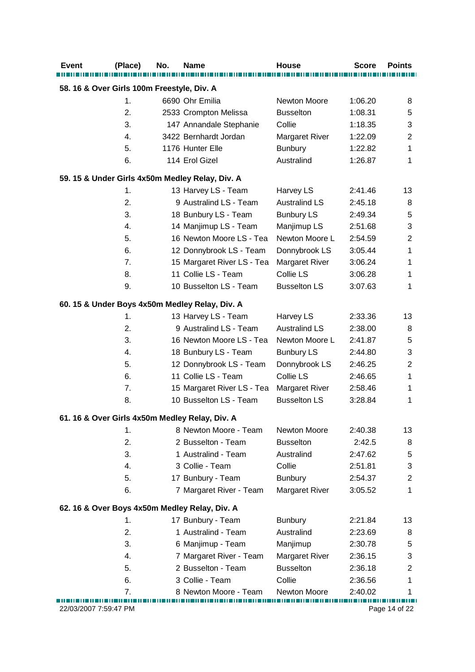| <b>Event</b>                               | (Place)                                         | No. | Name                                           | <b>House</b>          | <b>Score</b> | <b>Points</b>  |  |  |  |  |
|--------------------------------------------|-------------------------------------------------|-----|------------------------------------------------|-----------------------|--------------|----------------|--|--|--|--|
| 58. 16 & Over Girls 100m Freestyle, Div. A |                                                 |     |                                                |                       |              |                |  |  |  |  |
|                                            | 1.                                              |     | 6690 Ohr Emilia                                | <b>Newton Moore</b>   | 1:06.20      | 8              |  |  |  |  |
|                                            | 2.                                              |     | 2533 Crompton Melissa                          | <b>Busselton</b>      | 1:08.31      | 5              |  |  |  |  |
|                                            | 3.                                              |     | 147 Annandale Stephanie                        | Collie                | 1:18.35      | 3              |  |  |  |  |
|                                            | 4.                                              |     | 3422 Bernhardt Jordan                          | Margaret River        | 1:22.09      | $\overline{2}$ |  |  |  |  |
|                                            | 5.                                              |     | 1176 Hunter Elle                               | <b>Bunbury</b>        | 1:22.82      | 1              |  |  |  |  |
|                                            | 6.                                              |     | 114 Erol Gizel                                 | Australind            | 1:26.87      | 1              |  |  |  |  |
|                                            | 59. 15 & Under Girls 4x50m Medley Relay, Div. A |     |                                                |                       |              |                |  |  |  |  |
|                                            | 1.                                              |     | 13 Harvey LS - Team                            | Harvey LS             | 2:41.46      | 13             |  |  |  |  |
|                                            | 2.                                              |     | 9 Australind LS - Team                         | <b>Australind LS</b>  | 2:45.18      | 8              |  |  |  |  |
|                                            | 3.                                              |     | 18 Bunbury LS - Team                           | <b>Bunbury LS</b>     | 2:49.34      | 5              |  |  |  |  |
|                                            | 4.                                              |     | 14 Manjimup LS - Team                          | Manjimup LS           | 2:51.68      | 3              |  |  |  |  |
|                                            | 5.                                              |     | 16 Newton Moore LS - Tea                       | Newton Moore L        | 2:54.59      | $\overline{2}$ |  |  |  |  |
|                                            | 6.                                              |     | 12 Donnybrook LS - Team                        | Donnybrook LS         | 3:05.44      | 1              |  |  |  |  |
|                                            | 7.                                              |     | 15 Margaret River LS - Tea                     | Margaret River        | 3:06.24      | 1              |  |  |  |  |
|                                            | 8.                                              |     | 11 Collie LS - Team                            | Collie LS             | 3:06.28      | 1              |  |  |  |  |
|                                            | 9.                                              |     | 10 Busselton LS - Team                         | <b>Busselton LS</b>   | 3:07.63      | 1              |  |  |  |  |
|                                            |                                                 |     | 60. 15 & Under Boys 4x50m Medley Relay, Div. A |                       |              |                |  |  |  |  |
|                                            | 1.                                              |     | 13 Harvey LS - Team                            | Harvey LS             | 2:33.36      | 13             |  |  |  |  |
|                                            | 2.                                              |     | 9 Australind LS - Team                         | <b>Australind LS</b>  | 2:38.00      | 8              |  |  |  |  |
|                                            | 3.                                              |     | 16 Newton Moore LS - Tea                       | Newton Moore L        | 2:41.87      | 5              |  |  |  |  |
|                                            | 4.                                              |     | 18 Bunbury LS - Team                           | <b>Bunbury LS</b>     | 2:44.80      | 3              |  |  |  |  |
|                                            | 5.                                              |     | 12 Donnybrook LS - Team                        | Donnybrook LS         | 2:46.25      | $\overline{2}$ |  |  |  |  |
|                                            | 6.                                              |     | 11 Collie LS - Team                            | Collie LS             | 2:46.65      | 1              |  |  |  |  |
|                                            | 7.                                              |     | 15 Margaret River LS - Tea                     | <b>Margaret River</b> | 2:58.46      | 1              |  |  |  |  |
|                                            | 8.                                              |     | 10 Busselton LS - Team                         | <b>Busselton LS</b>   | 3:28.84      | 1              |  |  |  |  |
|                                            |                                                 |     | 61. 16 & Over Girls 4x50m Medley Relay, Div. A |                       |              |                |  |  |  |  |
|                                            | 1.                                              |     | 8 Newton Moore - Team                          | Newton Moore          | 2:40.38      | 13             |  |  |  |  |
|                                            | 2.                                              |     | 2 Busselton - Team                             | <b>Busselton</b>      | 2:42.5       | 8              |  |  |  |  |
|                                            | 3.                                              |     | 1 Australind - Team                            | Australind            | 2:47.62      | 5              |  |  |  |  |
|                                            | 4.                                              |     | 3 Collie - Team                                | Collie                | 2:51.81      | 3              |  |  |  |  |
|                                            | 5.                                              |     | 17 Bunbury - Team                              | Bunbury               | 2:54.37      | $\overline{2}$ |  |  |  |  |
|                                            | 6.                                              |     | 7 Margaret River - Team                        | <b>Margaret River</b> | 3:05.52      | 1              |  |  |  |  |
|                                            |                                                 |     | 62. 16 & Over Boys 4x50m Medley Relay, Div. A  |                       |              |                |  |  |  |  |
|                                            | 1.                                              |     | 17 Bunbury - Team                              | <b>Bunbury</b>        | 2:21.84      | 13             |  |  |  |  |
|                                            | 2.                                              |     | 1 Australind - Team                            | Australind            | 2:23.69      | 8              |  |  |  |  |
|                                            | 3.                                              |     | 6 Manjimup - Team                              | Manjimup              | 2:30.78      | 5              |  |  |  |  |
|                                            | 4.                                              |     | 7 Margaret River - Team                        | <b>Margaret River</b> | 2:36.15      | 3              |  |  |  |  |
|                                            | 5.                                              |     | 2 Busselton - Team                             | <b>Busselton</b>      | 2:36.18      | $\overline{2}$ |  |  |  |  |
|                                            | 6.                                              |     | 3 Collie - Team                                | Collie                | 2:36.56      | 1              |  |  |  |  |
|                                            | 7.                                              |     | 8 Newton Moore - Team                          | Newton Moore          | 2:40.02      | 1              |  |  |  |  |
| 22/03/2007 7:59:47 PM                      |                                                 |     |                                                |                       |              | Page 14 of 22  |  |  |  |  |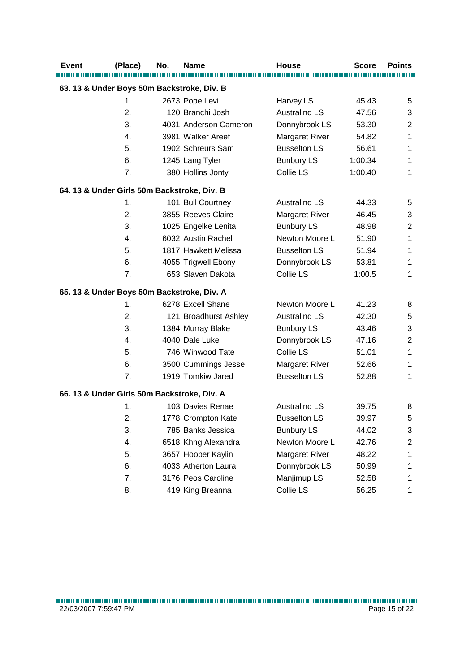| <b>Event</b>                                | (Place) | No. | <b>Name</b>           | <b>House</b>          | <b>Score</b> | <b>Points</b> |
|---------------------------------------------|---------|-----|-----------------------|-----------------------|--------------|---------------|
|                                             |         |     |                       |                       |              |               |
| 63. 13 & Under Boys 50m Backstroke, Div. B  |         |     |                       |                       |              |               |
|                                             | 1.      |     | 2673 Pope Levi        | Harvey LS             | 45.43        | 5             |
|                                             | 2.      |     | 120 Branchi Josh      | <b>Australind LS</b>  | 47.56        | 3             |
|                                             | 3.      |     | 4031 Anderson Cameron | Donnybrook LS         | 53.30        | 2             |
|                                             | 4.      |     | 3981 Walker Areef     | Margaret River        | 54.82        | 1             |
|                                             | 5.      |     | 1902 Schreurs Sam     | <b>Busselton LS</b>   | 56.61        | 1             |
|                                             | 6.      |     | 1245 Lang Tyler       | <b>Bunbury LS</b>     | 1:00.34      | 1             |
|                                             | 7.      |     | 380 Hollins Jonty     | Collie LS             | 1:00.40      | 1             |
| 64. 13 & Under Girls 50m Backstroke, Div. B |         |     |                       |                       |              |               |
|                                             | 1.      |     | 101 Bull Courtney     | <b>Australind LS</b>  | 44.33        | 5             |
|                                             | 2.      |     | 3855 Reeves Claire    | <b>Margaret River</b> | 46.45        | 3             |
|                                             | 3.      |     | 1025 Engelke Lenita   | <b>Bunbury LS</b>     | 48.98        | 2             |
|                                             | 4.      |     | 6032 Austin Rachel    | Newton Moore L        | 51.90        | 1             |
|                                             | 5.      |     | 1817 Hawkett Melissa  | <b>Busselton LS</b>   | 51.94        | 1             |
|                                             | 6.      |     | 4055 Trigwell Ebony   | Donnybrook LS         | 53.81        | 1             |
|                                             | 7.      |     | 653 Slaven Dakota     | Collie LS             | 1:00.5       | 1             |
| 65. 13 & Under Boys 50m Backstroke, Div. A  |         |     |                       |                       |              |               |
|                                             | 1.      |     | 6278 Excell Shane     | Newton Moore L        | 41.23        | 8             |
|                                             | 2.      |     | 121 Broadhurst Ashley | <b>Australind LS</b>  | 42.30        | 5             |
|                                             | 3.      |     | 1384 Murray Blake     | <b>Bunbury LS</b>     | 43.46        | 3             |
|                                             | 4.      |     | 4040 Dale Luke        | Donnybrook LS         | 47.16        | 2             |
|                                             | 5.      |     | 746 Winwood Tate      | Collie LS             | 51.01        | 1             |
|                                             | 6.      |     | 3500 Cummings Jesse   | Margaret River        | 52.66        | 1             |
|                                             | 7.      |     | 1919 Tomkiw Jared     | <b>Busselton LS</b>   | 52.88        | 1             |
| 66. 13 & Under Girls 50m Backstroke, Div. A |         |     |                       |                       |              |               |
|                                             | 1.      |     | 103 Davies Renae      | <b>Australind LS</b>  | 39.75        | 8             |
|                                             | 2.      |     | 1778 Crompton Kate    | <b>Busselton LS</b>   | 39.97        | 5             |
|                                             | 3.      |     | 785 Banks Jessica     | <b>Bunbury LS</b>     | 44.02        | 3             |
|                                             | 4.      |     | 6518 Khng Alexandra   | Newton Moore L        | 42.76        | 2             |
|                                             | 5.      |     | 3657 Hooper Kaylin    | <b>Margaret River</b> | 48.22        | 1             |
|                                             | 6.      |     | 4033 Atherton Laura   | Donnybrook LS         | 50.99        | 1             |
|                                             | 7.      |     | 3176 Peos Caroline    | Manjimup LS           | 52.58        | 1             |
|                                             | 8.      |     | 419 King Breanna      | Collie LS             | 56.25        | 1             |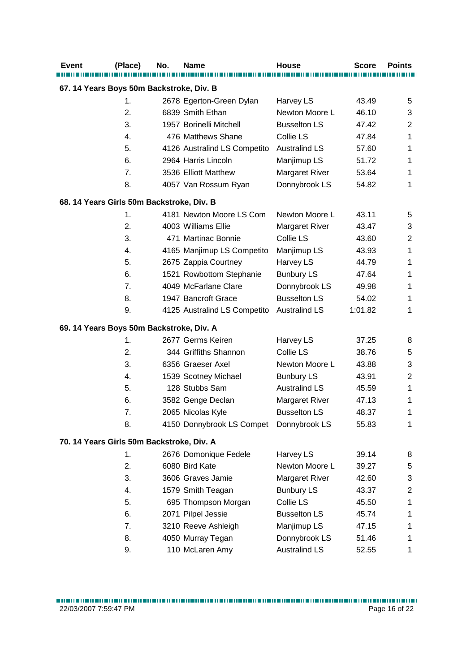| <b>Event</b> | (Place)                                   | No. | <b>Name</b>                  | House                 | <b>Score</b> | <b>Points</b>  |
|--------------|-------------------------------------------|-----|------------------------------|-----------------------|--------------|----------------|
|              | 67. 14 Years Boys 50m Backstroke, Div. B  |     |                              |                       |              |                |
|              | 1.                                        |     | 2678 Egerton-Green Dylan     | Harvey LS             | 43.49        | 5              |
|              | 2.                                        |     | 6839 Smith Ethan             | Newton Moore L        | 46.10        | 3              |
|              | 3.                                        |     | 1957 Borinelli Mitchell      | <b>Busselton LS</b>   | 47.42        | 2              |
|              | 4.                                        |     | 476 Matthews Shane           | Collie LS             | 47.84        | 1              |
|              | 5.                                        |     | 4126 Australind LS Competito | <b>Australind LS</b>  | 57.60        | 1              |
|              | 6.                                        |     | 2964 Harris Lincoln          | Manjimup LS           | 51.72        | 1              |
|              | 7.                                        |     | 3536 Elliott Matthew         | <b>Margaret River</b> | 53.64        | 1              |
|              | 8.                                        |     | 4057 Van Rossum Ryan         | Donnybrook LS         | 54.82        | 1              |
|              | 68. 14 Years Girls 50m Backstroke, Div. B |     |                              |                       |              |                |
|              | 1.                                        |     | 4181 Newton Moore LS Com     | Newton Moore L        | 43.11        | 5              |
|              | 2.                                        |     | 4003 Williams Ellie          | <b>Margaret River</b> | 43.47        | 3              |
|              | 3.                                        |     | 471 Martinac Bonnie          | Collie LS             | 43.60        | $\overline{c}$ |
|              | 4.                                        |     | 4165 Manjimup LS Competito   | Manjimup LS           | 43.93        | 1              |
|              | 5.                                        |     | 2675 Zappia Courtney         | Harvey LS             | 44.79        | 1              |
|              | 6.                                        |     | 1521 Rowbottom Stephanie     | <b>Bunbury LS</b>     | 47.64        | 1              |
|              | 7.                                        |     | 4049 McFarlane Clare         | Donnybrook LS         | 49.98        | 1              |
|              | 8.                                        |     | 1947 Bancroft Grace          | <b>Busselton LS</b>   | 54.02        | 1              |
|              | 9.                                        |     | 4125 Australind LS Competito | <b>Australind LS</b>  | 1:01.82      | 1              |
|              | 69. 14 Years Boys 50m Backstroke, Div. A  |     |                              |                       |              |                |
|              | 1.                                        |     | 2677 Germs Keiren            | Harvey LS             | 37.25        | 8              |
|              | 2.                                        |     | 344 Griffiths Shannon        | Collie LS             | 38.76        | 5              |
|              | 3.                                        |     | 6356 Graeser Axel            | Newton Moore L        | 43.88        | 3              |
|              | 4.                                        |     | 1539 Scotney Michael         | <b>Bunbury LS</b>     | 43.91        | $\overline{c}$ |
|              | 5.                                        |     | 128 Stubbs Sam               | <b>Australind LS</b>  | 45.59        | 1              |
|              | 6.                                        |     | 3582 Genge Declan            | <b>Margaret River</b> | 47.13        | 1              |
|              | 7.                                        |     | 2065 Nicolas Kyle            | <b>Busselton LS</b>   | 48.37        | 1              |
|              | 8.                                        |     | 4150 Donnybrook LS Compet    | Donnybrook LS         | 55.83        | 1              |
|              | 70. 14 Years Girls 50m Backstroke, Div. A |     |                              |                       |              |                |
|              | 1.                                        |     | 2676 Domonique Fedele        | Harvey LS             | 39.14        | 8              |
|              | 2.                                        |     | 6080 Bird Kate               | Newton Moore L        | 39.27        | 5              |
|              | 3.                                        |     | 3606 Graves Jamie            | <b>Margaret River</b> | 42.60        | 3              |
|              | 4.                                        |     | 1579 Smith Teagan            | <b>Bunbury LS</b>     | 43.37        | $\overline{2}$ |
|              | 5.                                        |     | 695 Thompson Morgan          | Collie LS             | 45.50        | 1              |
|              | 6.                                        |     | 2071 Pilpel Jessie           | <b>Busselton LS</b>   | 45.74        | 1              |
|              | 7.                                        |     | 3210 Reeve Ashleigh          | Manjimup LS           | 47.15        | 1              |
|              | 8.                                        |     | 4050 Murray Tegan            | Donnybrook LS         | 51.46        | 1              |
|              | 9.                                        |     | 110 McLaren Amy              | <b>Australind LS</b>  | 52.55        | 1              |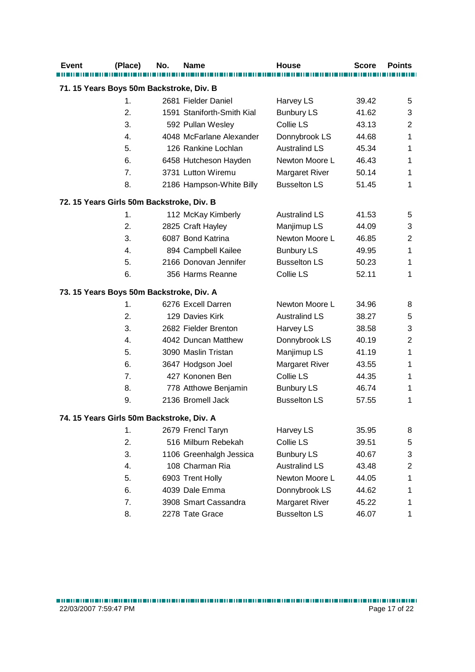| <b>Event</b>                              | (Place) | No. | <b>Name</b>                | <b>House</b>          | <b>Score</b> | <b>Points</b>             |
|-------------------------------------------|---------|-----|----------------------------|-----------------------|--------------|---------------------------|
|                                           |         |     |                            |                       |              |                           |
| 71. 15 Years Boys 50m Backstroke, Div. B  |         |     |                            |                       |              |                           |
|                                           | 1.      |     | 2681 Fielder Daniel        | Harvey LS             | 39.42        | 5                         |
|                                           | 2.      |     | 1591 Staniforth-Smith Kial | <b>Bunbury LS</b>     | 41.62        | 3                         |
|                                           | 3.      |     | 592 Pullan Wesley          | Collie LS             | 43.13        | $\overline{2}$            |
|                                           | 4.      |     | 4048 McFarlane Alexander   | Donnybrook LS         | 44.68        | 1                         |
|                                           | 5.      |     | 126 Rankine Lochlan        | <b>Australind LS</b>  | 45.34        | 1                         |
|                                           | 6.      |     | 6458 Hutcheson Hayden      | Newton Moore L        | 46.43        | 1                         |
|                                           | 7.      |     | 3731 Lutton Wiremu         | <b>Margaret River</b> | 50.14        | 1                         |
|                                           | 8.      |     | 2186 Hampson-White Billy   | <b>Busselton LS</b>   | 51.45        | 1                         |
| 72. 15 Years Girls 50m Backstroke, Div. B |         |     |                            |                       |              |                           |
|                                           | 1.      |     | 112 McKay Kimberly         | <b>Australind LS</b>  | 41.53        | 5                         |
|                                           | 2.      |     | 2825 Craft Hayley          | Manjimup LS           | 44.09        | 3                         |
|                                           | 3.      |     | 6087 Bond Katrina          | Newton Moore L        | 46.85        | $\mathbf 2$               |
|                                           | 4.      |     | 894 Campbell Kailee        | <b>Bunbury LS</b>     | 49.95        | 1                         |
|                                           | 5.      |     | 2166 Donovan Jennifer      | <b>Busselton LS</b>   | 50.23        | 1                         |
|                                           | 6.      |     | 356 Harms Reanne           | Collie LS             | 52.11        | 1                         |
| 73. 15 Years Boys 50m Backstroke, Div. A  |         |     |                            |                       |              |                           |
|                                           | 1.      |     | 6276 Excell Darren         | Newton Moore L        | 34.96        | 8                         |
|                                           | 2.      |     | 129 Davies Kirk            | <b>Australind LS</b>  | 38.27        | 5                         |
|                                           | 3.      |     | 2682 Fielder Brenton       | Harvey LS             | 38.58        | 3                         |
|                                           | 4.      |     | 4042 Duncan Matthew        | Donnybrook LS         | 40.19        | $\overline{2}$            |
|                                           | 5.      |     | 3090 Maslin Tristan        | Manjimup LS           | 41.19        | 1                         |
|                                           | 6.      |     | 3647 Hodgson Joel          | <b>Margaret River</b> | 43.55        | 1                         |
|                                           | 7.      |     | 427 Kononen Ben            | Collie LS             | 44.35        | 1                         |
|                                           | 8.      |     | 778 Atthowe Benjamin       | <b>Bunbury LS</b>     | 46.74        | 1                         |
|                                           | 9.      |     | 2136 Bromell Jack          | <b>Busselton LS</b>   | 57.55        | 1                         |
| 74. 15 Years Girls 50m Backstroke, Div. A |         |     |                            |                       |              |                           |
|                                           | 1.      |     | 2679 Frencl Taryn          | Harvey LS             | 35.95        | 8                         |
|                                           | 2.      |     | 516 Milburn Rebekah        | Collie LS             | 39.51        | 5                         |
|                                           | 3.      |     | 1106 Greenhalgh Jessica    | <b>Bunbury LS</b>     | 40.67        | $\ensuremath{\mathsf{3}}$ |
|                                           | 4.      |     | 108 Charman Ria            | <b>Australind LS</b>  | 43.48        | $\overline{2}$            |
|                                           | 5.      |     | 6903 Trent Holly           | Newton Moore L        | 44.05        | 1                         |
|                                           | 6.      |     | 4039 Dale Emma             | Donnybrook LS         | 44.62        | 1                         |
|                                           | 7.      |     | 3908 Smart Cassandra       | Margaret River        | 45.22        | 1                         |
|                                           | 8.      |     | 2278 Tate Grace            | <b>Busselton LS</b>   | 46.07        | 1                         |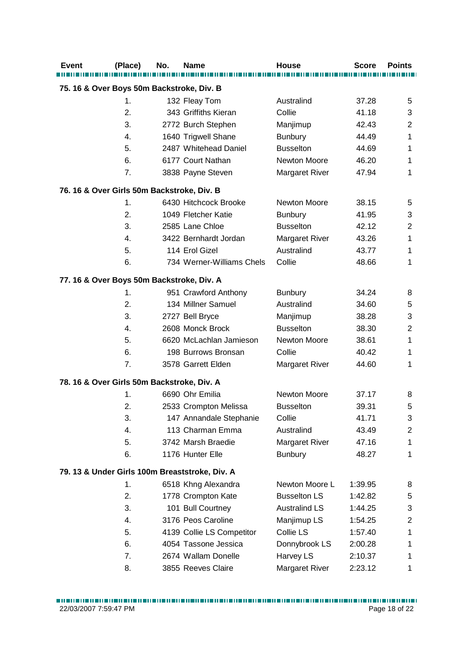| <b>Event</b>                               | (Place)       | No. | <b>Name</b>                                    | <b>House</b>          | <b>Score</b> | <b>Points</b>           |
|--------------------------------------------|---------------|-----|------------------------------------------------|-----------------------|--------------|-------------------------|
| 75. 16 & Over Boys 50m Backstroke, Div. B  |               |     |                                                |                       |              |                         |
|                                            | 1.            |     | 132 Fleay Tom                                  | Australind            | 37.28        | 5                       |
|                                            | 2.            |     | 343 Griffiths Kieran                           | Collie                | 41.18        | 3                       |
|                                            | 3.            |     | 2772 Burch Stephen                             | Manjimup              | 42.43        | $\overline{c}$          |
|                                            | 4.            |     | 1640 Trigwell Shane                            | <b>Bunbury</b>        | 44.49        | 1                       |
|                                            | 5.            |     | 2487 Whitehead Daniel                          | <b>Busselton</b>      | 44.69        | 1                       |
|                                            | 6.            |     | 6177 Court Nathan                              | <b>Newton Moore</b>   | 46.20        | 1                       |
|                                            | 7.            |     | 3838 Payne Steven                              | <b>Margaret River</b> | 47.94        | 1                       |
| 76. 16 & Over Girls 50m Backstroke, Div. B |               |     |                                                |                       |              |                         |
|                                            | $\mathbf 1$ . |     | 6430 Hitchcock Brooke                          | Newton Moore          | 38.15        | 5                       |
|                                            | 2.            |     | 1049 Fletcher Katie                            | Bunbury               | 41.95        | 3                       |
|                                            | 3.            |     | 2585 Lane Chloe                                | <b>Busselton</b>      | 42.12        | $\overline{2}$          |
|                                            | 4.            |     | 3422 Bernhardt Jordan                          | <b>Margaret River</b> | 43.26        | 1                       |
|                                            | 5.            |     | 114 Erol Gizel                                 | Australind            | 43.77        | 1                       |
|                                            | 6.            |     | 734 Werner-Williams Chels                      | Collie                | 48.66        | 1                       |
| 77. 16 & Over Boys 50m Backstroke, Div. A  |               |     |                                                |                       |              |                         |
|                                            | 1.            |     | 951 Crawford Anthony                           | <b>Bunbury</b>        | 34.24        | 8                       |
|                                            | 2.            |     | 134 Millner Samuel                             | Australind            | 34.60        | 5                       |
|                                            | 3.            |     | 2727 Bell Bryce                                | Manjimup              | 38.28        | 3                       |
|                                            | 4.            |     | 2608 Monck Brock                               | <b>Busselton</b>      | 38.30        | $\mathbf 2$             |
|                                            | 5.            |     | 6620 McLachlan Jamieson                        | Newton Moore          | 38.61        | $\mathbf{1}$            |
|                                            | 6.            |     | 198 Burrows Bronsan                            | Collie                | 40.42        | 1                       |
|                                            | 7.            |     | 3578 Garrett Elden                             | <b>Margaret River</b> | 44.60        | 1                       |
| 78. 16 & Over Girls 50m Backstroke, Div. A |               |     |                                                |                       |              |                         |
|                                            | 1.            |     | 6690 Ohr Emilia                                | Newton Moore          | 37.17        | 8                       |
|                                            | 2.            |     | 2533 Crompton Melissa                          | <b>Busselton</b>      | 39.31        | 5                       |
|                                            | 3.            |     | 147 Annandale Stephanie                        | Collie                | 41.71        | 3                       |
|                                            | 4.            |     | 113 Charman Emma                               | Australind            | 43.49        | $\overline{c}$          |
|                                            | 5.            |     | 3742 Marsh Braedie                             | <b>Margaret River</b> | 47.16        | 1                       |
|                                            | 6.            |     | 1176 Hunter Elle                               | <b>Bunbury</b>        | 48.27        | $\mathbf{1}$            |
|                                            |               |     | 79. 13 & Under Girls 100m Breaststroke, Div. A |                       |              |                         |
|                                            | 1.            |     | 6518 Khng Alexandra                            | Newton Moore L        | 1:39.95      | 8                       |
|                                            | 2.            |     | 1778 Crompton Kate                             | <b>Busselton LS</b>   | 1:42.82      | 5                       |
|                                            | 3.            |     | 101 Bull Courtney                              | <b>Australind LS</b>  | 1:44.25      | 3                       |
|                                            | 4.            |     | 3176 Peos Caroline                             | Manjimup LS           | 1:54.25      | $\overline{\mathbf{c}}$ |
|                                            | 5.            |     | 4139 Collie LS Competitor                      | Collie LS             | 1:57.40      | 1                       |
|                                            | 6.            |     | 4054 Tassone Jessica                           | Donnybrook LS         | 2:00.28      | 1                       |
|                                            | 7.            |     | 2674 Wallam Donelle                            | Harvey LS             | 2:10.37      | 1                       |
|                                            | 8.            |     | 3855 Reeves Claire                             | Margaret River        | 2:23.12      | 1                       |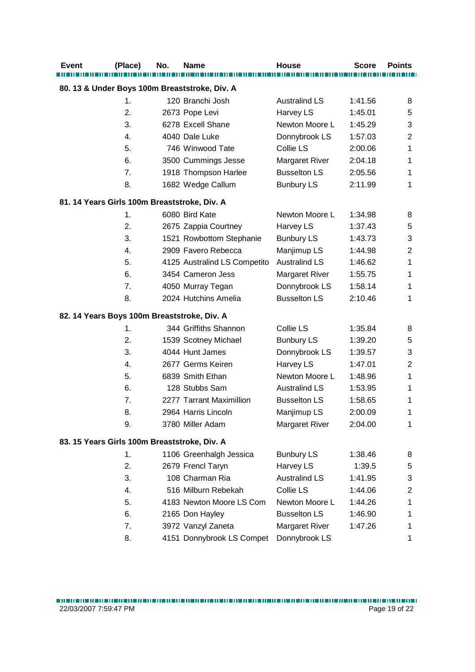| (Place)<br><b>Event</b>                       | No. | Name                         | <b>House</b>          | <b>Score</b> | <b>Points</b> |
|-----------------------------------------------|-----|------------------------------|-----------------------|--------------|---------------|
|                                               |     |                              |                       |              |               |
| 80. 13 & Under Boys 100m Breaststroke, Div. A |     |                              |                       |              |               |
| 1.                                            |     | 120 Branchi Josh             | <b>Australind LS</b>  | 1:41.56      | 8             |
| 2.                                            |     | 2673 Pope Levi               | Harvey LS             | 1:45.01      | 5             |
| 3.                                            |     | 6278 Excell Shane            | Newton Moore L        | 1:45.29      | 3             |
| 4.                                            |     | 4040 Dale Luke               | Donnybrook LS         | 1:57.03      | 2             |
| 5.                                            |     | 746 Winwood Tate             | Collie LS             | 2:00.06      | 1             |
| 6.                                            |     | 3500 Cummings Jesse          | <b>Margaret River</b> | 2:04.18      | 1             |
| 7.                                            |     | 1918 Thompson Harlee         | <b>Busselton LS</b>   | 2:05.56      | 1             |
| 8.                                            |     | 1682 Wedge Callum            | <b>Bunbury LS</b>     | 2:11.99      | 1             |
| 81. 14 Years Girls 100m Breaststroke, Div. A  |     |                              |                       |              |               |
| 1.                                            |     | 6080 Bird Kate               | Newton Moore L        | 1:34.98      | 8             |
| 2.                                            |     | 2675 Zappia Courtney         | Harvey LS             | 1:37.43      | 5             |
| 3.                                            |     | 1521 Rowbottom Stephanie     | <b>Bunbury LS</b>     | 1:43.73      | 3             |
| 4.                                            |     | 2909 Favero Rebecca          | Manjimup LS           | 1:44.98      | 2             |
| 5.                                            |     | 4125 Australind LS Competito | <b>Australind LS</b>  | 1:46.62      | 1             |
| 6.                                            |     | 3454 Cameron Jess            | <b>Margaret River</b> | 1:55.75      | 1             |
| 7.                                            |     | 4050 Murray Tegan            | Donnybrook LS         | 1:58.14      | 1             |
| 8.                                            |     | 2024 Hutchins Amelia         | <b>Busselton LS</b>   | 2:10.46      | 1             |
| 82. 14 Years Boys 100m Breaststroke, Div. A   |     |                              |                       |              |               |
| 1.                                            |     | 344 Griffiths Shannon        | Collie LS             | 1:35.84      | 8             |
| 2.                                            |     | 1539 Scotney Michael         | <b>Bunbury LS</b>     | 1:39.20      | 5             |
| 3.                                            |     | 4044 Hunt James              | Donnybrook LS         | 1:39.57      | 3             |
| 4.                                            |     | 2677 Germs Keiren            | Harvey LS             | 1:47.01      | 2             |
| 5.                                            |     | 6839 Smith Ethan             | Newton Moore L        | 1:48.96      | 1             |
| 6.                                            |     | 128 Stubbs Sam               | <b>Australind LS</b>  | 1:53.95      | 1             |
| 7.                                            |     | 2277 Tarrant Maximillion     | <b>Busselton LS</b>   | 1:58.65      | 1             |
| 8.                                            |     | 2964 Harris Lincoln          | Manjimup LS           | 2:00.09      | 1             |
| 9.                                            |     | 3780 Miller Adam             | Margaret River        | 2:04.00      | 1             |
| 83. 15 Years Girls 100m Breaststroke, Div. A  |     |                              |                       |              |               |
| 1.                                            |     | 1106 Greenhalgh Jessica      | <b>Bunbury LS</b>     | 1:38.46      | 8             |
| 2.                                            |     | 2679 Frencl Taryn            | Harvey LS             | 1:39.5       | 5             |
| 3.                                            |     | 108 Charman Ria              | <b>Australind LS</b>  | 1:41.95      | 3             |
| 4.                                            |     | 516 Milburn Rebekah          | Collie LS             | 1:44.06      | 2             |
| 5.                                            |     | 4183 Newton Moore LS Com     | Newton Moore L        | 1:44.26      | 1             |
| 6.                                            |     | 2165 Don Hayley              | <b>Busselton LS</b>   | 1:46.90      | 1             |
|                                               |     |                              |                       |              |               |
| 7.                                            |     | 3972 Vanzyl Zaneta           | <b>Margaret River</b> | 1:47.26      | 1             |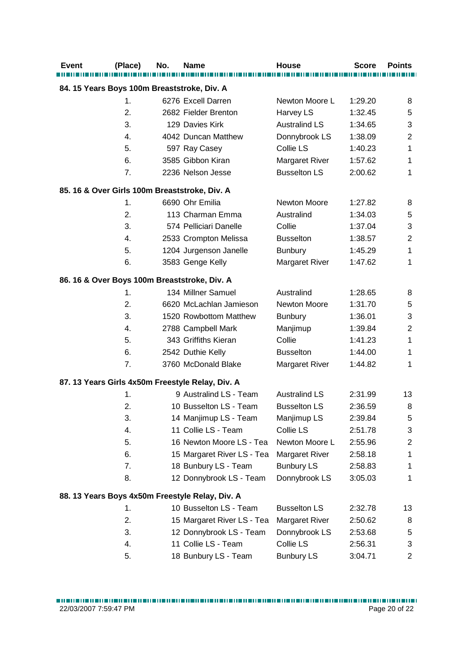| <b>Event</b>                                  | (Place)       | No. | <b>Name</b>                                      | <b>House</b>          | <b>Score</b> | <b>Points</b>             |
|-----------------------------------------------|---------------|-----|--------------------------------------------------|-----------------------|--------------|---------------------------|
| 84. 15 Years Boys 100m Breaststroke, Div. A   |               |     |                                                  |                       |              |                           |
|                                               | 1.            |     | 6276 Excell Darren                               | Newton Moore L        | 1:29.20      | 8                         |
|                                               | 2.            |     | 2682 Fielder Brenton                             | Harvey LS             | 1:32.45      | 5                         |
|                                               | 3.            |     | 129 Davies Kirk                                  | <b>Australind LS</b>  | 1:34.65      | 3                         |
|                                               | 4.            |     | 4042 Duncan Matthew                              | Donnybrook LS         | 1:38.09      | $\overline{2}$            |
|                                               | 5.            |     | 597 Ray Casey                                    | Collie LS             | 1:40.23      | 1                         |
|                                               | 6.            |     | 3585 Gibbon Kiran                                | <b>Margaret River</b> | 1:57.62      | 1                         |
|                                               | 7.            |     | 2236 Nelson Jesse                                | <b>Busselton LS</b>   | 2:00.62      | 1                         |
| 85. 16 & Over Girls 100m Breaststroke, Div. A |               |     |                                                  |                       |              |                           |
|                                               | $\mathbf 1$ . |     | 6690 Ohr Emilia                                  | Newton Moore          | 1:27.82      | 8                         |
|                                               | 2.            |     | 113 Charman Emma                                 | Australind            | 1:34.03      | 5                         |
|                                               | 3.            |     | 574 Pelliciari Danelle                           | Collie                | 1:37.04      | $\ensuremath{\mathsf{3}}$ |
|                                               | 4.            |     | 2533 Crompton Melissa                            | <b>Busselton</b>      | 1:38.57      | $\overline{2}$            |
|                                               | 5.            |     | 1204 Jurgenson Janelle                           | <b>Bunbury</b>        | 1:45.29      | $\mathbf 1$               |
|                                               | 6.            |     |                                                  |                       | 1:47.62      | 1                         |
|                                               |               |     | 3583 Genge Kelly                                 | Margaret River        |              |                           |
|                                               |               |     | 86. 16 & Over Boys 100m Breaststroke, Div. A     |                       |              |                           |
|                                               | 1.            |     | 134 Millner Samuel                               | Australind            | 1:28.65      | 8                         |
|                                               | 2.            |     | 6620 McLachlan Jamieson                          | Newton Moore          | 1:31.70      | 5                         |
|                                               | 3.            |     | 1520 Rowbottom Matthew                           | <b>Bunbury</b>        | 1:36.01      | 3                         |
|                                               | 4.            |     | 2788 Campbell Mark                               | Manjimup              | 1:39.84      | $\mathbf 2$               |
|                                               | 5.            |     | 343 Griffiths Kieran                             | Collie                | 1:41.23      | 1                         |
|                                               | 6.            |     | 2542 Duthie Kelly                                | <b>Busselton</b>      | 1:44.00      | 1                         |
|                                               | 7.            |     | 3760 McDonald Blake                              | <b>Margaret River</b> | 1:44.82      | 1                         |
|                                               |               |     | 87. 13 Years Girls 4x50m Freestyle Relay, Div. A |                       |              |                           |
|                                               | 1.            |     | 9 Australind LS - Team                           | <b>Australind LS</b>  | 2:31.99      | 13                        |
|                                               | 2.            |     | 10 Busselton LS - Team                           | <b>Busselton LS</b>   | 2:36.59      | 8                         |
|                                               | 3.            |     | 14 Manjimup LS - Team                            | Manjimup LS           | 2:39.84      | 5                         |
|                                               | 4.            |     | 11 Collie LS - Team                              | Collie LS             | 2:51.78      | 3                         |
|                                               | 5.            |     | 16 Newton Moore LS - Tea                         | Newton Moore L        | 2:55.96      | 2                         |
|                                               | 6.            |     | 15 Margaret River LS - Tea                       | <b>Margaret River</b> | 2:58.18      | 1                         |
|                                               | 7.            |     | 18 Bunbury LS - Team                             | <b>Bunbury LS</b>     | 2:58.83      | 1                         |
|                                               | 8.            |     | 12 Donnybrook LS - Team                          | Donnybrook LS         | 3:05.03      | 1                         |
|                                               |               |     | 88. 13 Years Boys 4x50m Freestyle Relay, Div. A  |                       |              |                           |
|                                               | 1.            |     | 10 Busselton LS - Team                           | <b>Busselton LS</b>   | 2:32.78      | 13                        |
|                                               | 2.            |     | 15 Margaret River LS - Tea                       | <b>Margaret River</b> | 2:50.62      | 8                         |
|                                               | 3.            |     | 12 Donnybrook LS - Team                          | Donnybrook LS         | 2:53.68      | 5                         |
|                                               | 4.            |     | 11 Collie LS - Team                              | Collie LS             | 2:56.31      | 3                         |
|                                               | 5.            |     | 18 Bunbury LS - Team                             | <b>Bunbury LS</b>     | 3:04.71      | $\overline{c}$            |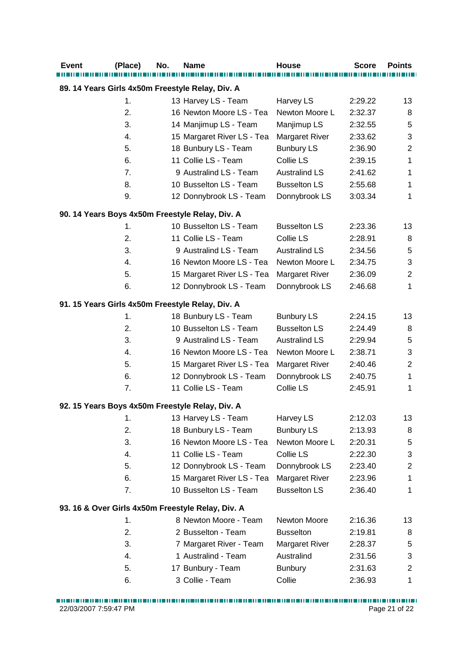| <b>Event</b> | (Place) | No. | <b>Name</b>                                       | House                 | <b>Score</b> | <b>Points</b>             |
|--------------|---------|-----|---------------------------------------------------|-----------------------|--------------|---------------------------|
|              |         |     | 89. 14 Years Girls 4x50m Freestyle Relay, Div. A  |                       |              |                           |
|              | 1.      |     | 13 Harvey LS - Team                               | Harvey LS             | 2:29.22      | 13                        |
|              | 2.      |     | 16 Newton Moore LS - Tea                          | Newton Moore L        | 2:32.37      | 8                         |
|              | 3.      |     | 14 Manjimup LS - Team                             | Manjimup LS           | 2:32.55      | 5                         |
|              | 4.      |     | 15 Margaret River LS - Tea                        | Margaret River        | 2:33.62      | 3                         |
|              | 5.      |     | 18 Bunbury LS - Team                              | <b>Bunbury LS</b>     | 2:36.90      | $\overline{2}$            |
|              | 6.      |     | 11 Collie LS - Team                               | Collie LS             | 2:39.15      | 1                         |
|              | 7.      |     | 9 Australind LS - Team                            | <b>Australind LS</b>  | 2:41.62      | $\mathbf{1}$              |
|              | 8.      |     | 10 Busselton LS - Team                            | <b>Busselton LS</b>   | 2:55.68      | 1                         |
|              | 9.      |     | 12 Donnybrook LS - Team                           | Donnybrook LS         | 3:03.34      | 1                         |
|              |         |     | 90. 14 Years Boys 4x50m Freestyle Relay, Div. A   |                       |              |                           |
|              | 1.      |     | 10 Busselton LS - Team                            | <b>Busselton LS</b>   | 2:23.36      | 13                        |
|              | 2.      |     | 11 Collie LS - Team                               | Collie LS             | 2:28.91      | 8                         |
|              | 3.      |     | 9 Australind LS - Team                            | <b>Australind LS</b>  | 2:34.56      | 5                         |
|              | 4.      |     | 16 Newton Moore LS - Tea                          | Newton Moore L        | 2:34.75      | $\ensuremath{\mathsf{3}}$ |
|              | 5.      |     | 15 Margaret River LS - Tea                        | <b>Margaret River</b> | 2:36.09      | $\overline{2}$            |
|              | 6.      |     | 12 Donnybrook LS - Team                           | Donnybrook LS         | 2:46.68      | $\mathbf{1}$              |
|              |         |     | 91. 15 Years Girls 4x50m Freestyle Relay, Div. A  |                       |              |                           |
|              | 1.      |     | 18 Bunbury LS - Team                              | <b>Bunbury LS</b>     | 2:24.15      | 13                        |
|              | 2.      |     | 10 Busselton LS - Team                            | <b>Busselton LS</b>   | 2:24.49      | 8                         |
|              | 3.      |     | 9 Australind LS - Team                            | <b>Australind LS</b>  | 2:29.94      | 5                         |
|              | 4.      |     | 16 Newton Moore LS - Tea                          | Newton Moore L        | 2:38.71      | $\ensuremath{\mathsf{3}}$ |
|              | 5.      |     | 15 Margaret River LS - Tea                        | <b>Margaret River</b> | 2:40.46      | $\overline{c}$            |
|              | 6.      |     | 12 Donnybrook LS - Team                           | Donnybrook LS         | 2:40.75      | $\mathbf 1$               |
|              | 7.      |     | 11 Collie LS - Team                               | Collie LS             | 2:45.91      | 1                         |
|              |         |     | 92. 15 Years Boys 4x50m Freestyle Relay, Div. A   |                       |              |                           |
|              | 1.      |     | 13 Harvey LS - Team                               | Harvey LS             | 2:12.03      | 13                        |
|              | 2.      |     | 18 Bunbury LS - Team                              | <b>Bunbury LS</b>     | 2:13.93      | 8                         |
|              | 3.      |     | 16 Newton Moore LS - Tea                          | Newton Moore L        | 2:20.31      | 5                         |
|              | 4.      |     | 11 Collie LS - Team                               | Collie LS             | 2:22.30      | $\ensuremath{\mathsf{3}}$ |
|              | 5.      |     | 12 Donnybrook LS - Team                           | Donnybrook LS         | 2:23.40      | $\overline{2}$            |
|              | 6.      |     | 15 Margaret River LS - Tea                        | Margaret River        | 2:23.96      | 1                         |
|              | 7.      |     | 10 Busselton LS - Team                            | <b>Busselton LS</b>   | 2:36.40      | 1                         |
|              |         |     | 93. 16 & Over Girls 4x50m Freestyle Relay, Div. A |                       |              |                           |
|              | 1.      |     | 8 Newton Moore - Team                             | Newton Moore          | 2:16.36      | 13                        |
|              | 2.      |     | 2 Busselton - Team                                | <b>Busselton</b>      | 2:19.81      | 8                         |
|              | 3.      |     | 7 Margaret River - Team                           | <b>Margaret River</b> | 2:28.37      | 5                         |
|              | 4.      |     | 1 Australind - Team                               | Australind            | 2:31.56      | 3                         |
|              | 5.      |     | 17 Bunbury - Team                                 | <b>Bunbury</b>        | 2:31.63      | $\overline{2}$            |
|              | 6.      |     | 3 Collie - Team                                   | Collie                | 2:36.93      | 1                         |